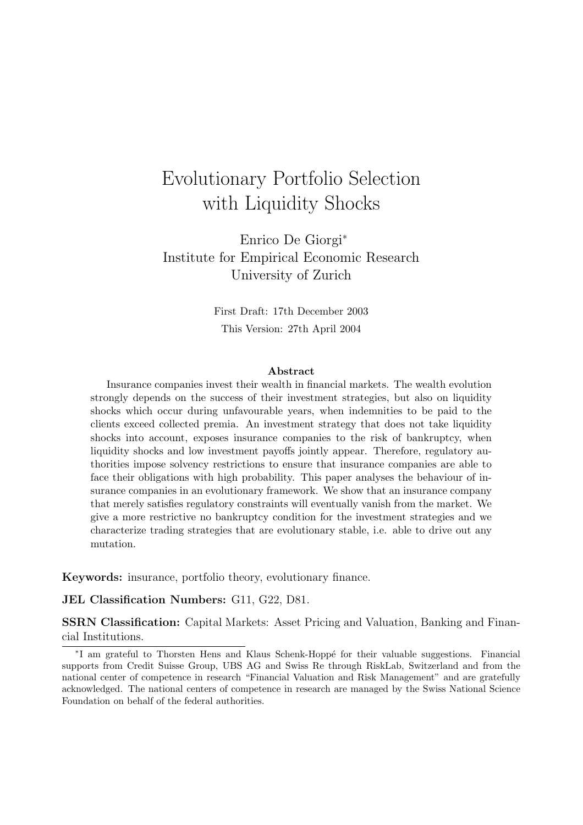# Evolutionary Portfolio Selection with Liquidity Shocks

Enrico De Giorgi<sup>∗</sup> Institute for Empirical Economic Research University of Zurich

> First Draft: 17th December 2003 This Version: 27th April 2004

### Abstract

Insurance companies invest their wealth in financial markets. The wealth evolution strongly depends on the success of their investment strategies, but also on liquidity shocks which occur during unfavourable years, when indemnities to be paid to the clients exceed collected premia. An investment strategy that does not take liquidity shocks into account, exposes insurance companies to the risk of bankruptcy, when liquidity shocks and low investment payoffs jointly appear. Therefore, regulatory authorities impose solvency restrictions to ensure that insurance companies are able to face their obligations with high probability. This paper analyses the behaviour of insurance companies in an evolutionary framework. We show that an insurance company that merely satisfies regulatory constraints will eventually vanish from the market. We give a more restrictive no bankruptcy condition for the investment strategies and we characterize trading strategies that are evolutionary stable, i.e. able to drive out any mutation.

Keywords: insurance, portfolio theory, evolutionary finance.

JEL Classification Numbers: G11, G22, D81.

SSRN Classification: Capital Markets: Asset Pricing and Valuation, Banking and Financial Institutions.

<sup>\*</sup>I am grateful to Thorsten Hens and Klaus Schenk-Hoppé for their valuable suggestions. Financial supports from Credit Suisse Group, UBS AG and Swiss Re through RiskLab, Switzerland and from the national center of competence in research "Financial Valuation and Risk Management" and are gratefully acknowledged. The national centers of competence in research are managed by the Swiss National Science Foundation on behalf of the federal authorities.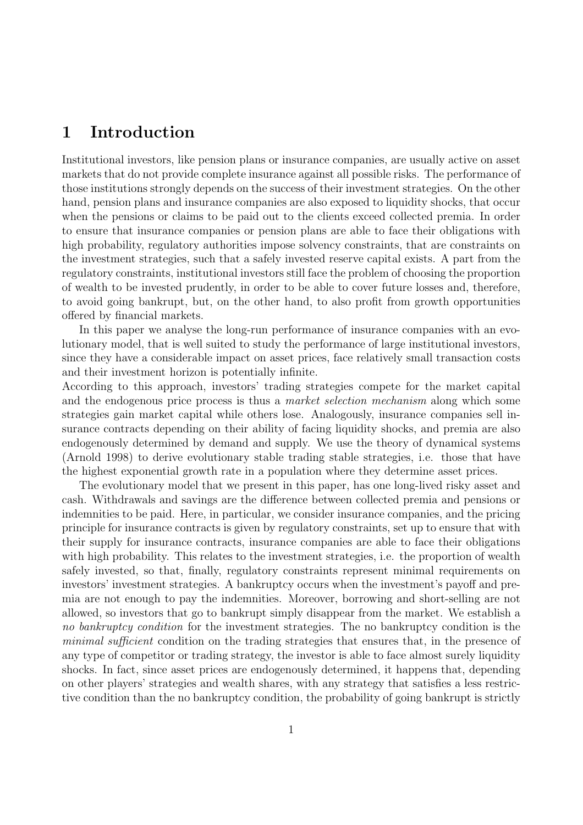## 1 Introduction

Institutional investors, like pension plans or insurance companies, are usually active on asset markets that do not provide complete insurance against all possible risks. The performance of those institutions strongly depends on the success of their investment strategies. On the other hand, pension plans and insurance companies are also exposed to liquidity shocks, that occur when the pensions or claims to be paid out to the clients exceed collected premia. In order to ensure that insurance companies or pension plans are able to face their obligations with high probability, regulatory authorities impose solvency constraints, that are constraints on the investment strategies, such that a safely invested reserve capital exists. A part from the regulatory constraints, institutional investors still face the problem of choosing the proportion of wealth to be invested prudently, in order to be able to cover future losses and, therefore, to avoid going bankrupt, but, on the other hand, to also profit from growth opportunities offered by financial markets.

In this paper we analyse the long-run performance of insurance companies with an evolutionary model, that is well suited to study the performance of large institutional investors, since they have a considerable impact on asset prices, face relatively small transaction costs and their investment horizon is potentially infinite.

According to this approach, investors' trading strategies compete for the market capital and the endogenous price process is thus a *market selection mechanism* along which some strategies gain market capital while others lose. Analogously, insurance companies sell insurance contracts depending on their ability of facing liquidity shocks, and premia are also endogenously determined by demand and supply. We use the theory of dynamical systems (Arnold 1998) to derive evolutionary stable trading stable strategies, i.e. those that have the highest exponential growth rate in a population where they determine asset prices.

The evolutionary model that we present in this paper, has one long-lived risky asset and cash. Withdrawals and savings are the difference between collected premia and pensions or indemnities to be paid. Here, in particular, we consider insurance companies, and the pricing principle for insurance contracts is given by regulatory constraints, set up to ensure that with their supply for insurance contracts, insurance companies are able to face their obligations with high probability. This relates to the investment strategies, i.e. the proportion of wealth safely invested, so that, finally, regulatory constraints represent minimal requirements on investors' investment strategies. A bankruptcy occurs when the investment's payoff and premia are not enough to pay the indemnities. Moreover, borrowing and short-selling are not allowed, so investors that go to bankrupt simply disappear from the market. We establish a no bankruptcy condition for the investment strategies. The no bankruptcy condition is the minimal sufficient condition on the trading strategies that ensures that, in the presence of any type of competitor or trading strategy, the investor is able to face almost surely liquidity shocks. In fact, since asset prices are endogenously determined, it happens that, depending on other players' strategies and wealth shares, with any strategy that satisfies a less restrictive condition than the no bankruptcy condition, the probability of going bankrupt is strictly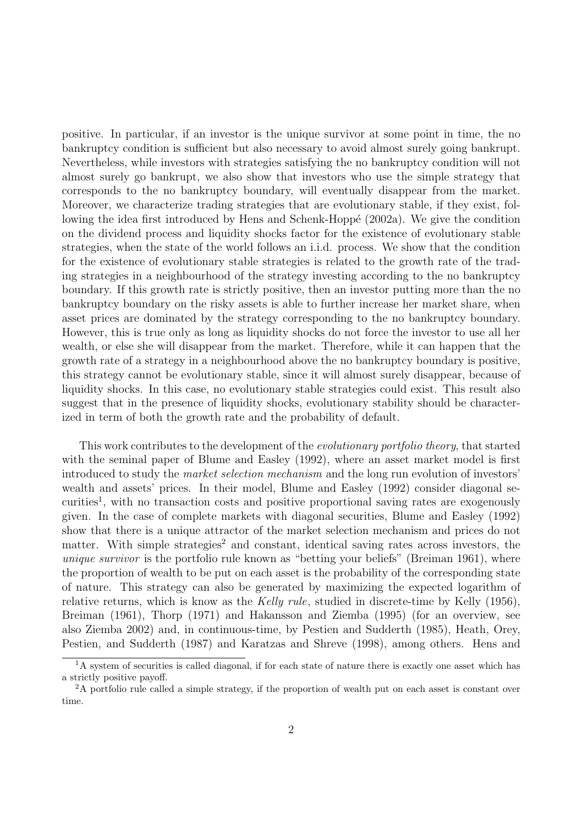positive. In particular, if an investor is the unique survivor at some point in time, the no bankruptcy condition is sufficient but also necessary to avoid almost surely going bankrupt. Nevertheless, while investors with strategies satisfying the no bankruptcy condition will not almost surely go bankrupt, we also show that investors who use the simple strategy that corresponds to the no bankruptcy boundary, will eventually disappear from the market. Moreover, we characterize trading strategies that are evolutionary stable, if they exist, following the idea first introduced by Hens and Schenk-Hoppé (2002a). We give the condition on the dividend process and liquidity shocks factor for the existence of evolutionary stable strategies, when the state of the world follows an i.i.d. process. We show that the condition for the existence of evolutionary stable strategies is related to the growth rate of the trading strategies in a neighbourhood of the strategy investing according to the no bankruptcy boundary. If this growth rate is strictly positive, then an investor putting more than the no bankruptcy boundary on the risky assets is able to further increase her market share, when asset prices are dominated by the strategy corresponding to the no bankruptcy boundary. However, this is true only as long as liquidity shocks do not force the investor to use all her wealth, or else she will disappear from the market. Therefore, while it can happen that the growth rate of a strategy in a neighbourhood above the no bankruptcy boundary is positive, this strategy cannot be evolutionary stable, since it will almost surely disappear, because of liquidity shocks. In this case, no evolutionary stable strategies could exist. This result also suggest that in the presence of liquidity shocks, evolutionary stability should be characterized in term of both the growth rate and the probability of default.

This work contributes to the development of the *evolutionary portfolio theory*, that started with the seminal paper of Blume and Easley (1992), where an asset market model is first introduced to study the market selection mechanism and the long run evolution of investors' wealth and assets' prices. In their model, Blume and Easley (1992) consider diagonal securities<sup>1</sup>, with no transaction costs and positive proportional saving rates are exogenously given. In the case of complete markets with diagonal securities, Blume and Easley (1992) show that there is a unique attractor of the market selection mechanism and prices do not matter. With simple strategies<sup>2</sup> and constant, identical saving rates across investors, the unique survivor is the portfolio rule known as "betting your beliefs" (Breiman 1961), where the proportion of wealth to be put on each asset is the probability of the corresponding state of nature. This strategy can also be generated by maximizing the expected logarithm of relative returns, which is know as the Kelly rule, studied in discrete-time by Kelly (1956), Breiman (1961), Thorp (1971) and Hakansson and Ziemba (1995) (for an overview, see also Ziemba 2002) and, in continuous-time, by Pestien and Sudderth (1985), Heath, Orey, Pestien, and Sudderth (1987) and Karatzas and Shreve (1998), among others. Hens and

<sup>&</sup>lt;sup>1</sup>A system of securities is called diagonal, if for each state of nature there is exactly one asset which has a strictly positive payoff.

<sup>&</sup>lt;sup>2</sup>A portfolio rule called a simple strategy, if the proportion of wealth put on each asset is constant over time.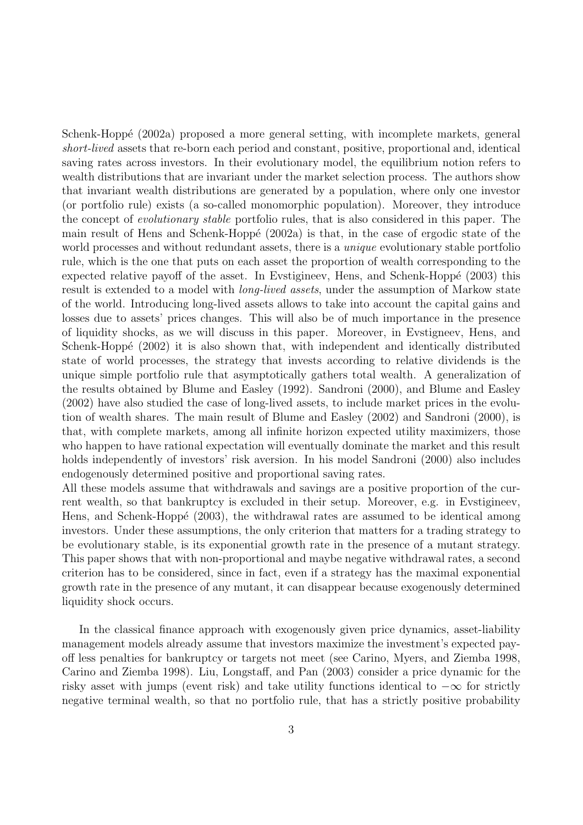Schenk-Hoppé (2002a) proposed a more general setting, with incomplete markets, general short-lived assets that re-born each period and constant, positive, proportional and, identical saving rates across investors. In their evolutionary model, the equilibrium notion refers to wealth distributions that are invariant under the market selection process. The authors show that invariant wealth distributions are generated by a population, where only one investor (or portfolio rule) exists (a so-called monomorphic population). Moreover, they introduce the concept of *evolutionary stable* portfolio rules, that is also considered in this paper. The main result of Hens and Schenk-Hoppé  $(2002a)$  is that, in the case of ergodic state of the world processes and without redundant assets, there is a *unique* evolutionary stable portfolio rule, which is the one that puts on each asset the proportion of wealth corresponding to the expected relative payoff of the asset. In Evstigineev, Hens, and Schenk-Hoppé  $(2003)$  this result is extended to a model with *long-lived assets*, under the assumption of Markow state of the world. Introducing long-lived assets allows to take into account the capital gains and losses due to assets' prices changes. This will also be of much importance in the presence of liquidity shocks, as we will discuss in this paper. Moreover, in Evstigneev, Hens, and Schenk-Hoppé (2002) it is also shown that, with independent and identically distributed state of world processes, the strategy that invests according to relative dividends is the unique simple portfolio rule that asymptotically gathers total wealth. A generalization of the results obtained by Blume and Easley (1992). Sandroni (2000), and Blume and Easley (2002) have also studied the case of long-lived assets, to include market prices in the evolution of wealth shares. The main result of Blume and Easley (2002) and Sandroni (2000), is that, with complete markets, among all infinite horizon expected utility maximizers, those who happen to have rational expectation will eventually dominate the market and this result holds independently of investors' risk aversion. In his model Sandroni (2000) also includes endogenously determined positive and proportional saving rates.

All these models assume that withdrawals and savings are a positive proportion of the current wealth, so that bankruptcy is excluded in their setup. Moreover, e.g. in Evstigineev, Hens, and Schenk-Hoppé (2003), the withdrawal rates are assumed to be identical among investors. Under these assumptions, the only criterion that matters for a trading strategy to be evolutionary stable, is its exponential growth rate in the presence of a mutant strategy. This paper shows that with non-proportional and maybe negative withdrawal rates, a second criterion has to be considered, since in fact, even if a strategy has the maximal exponential growth rate in the presence of any mutant, it can disappear because exogenously determined liquidity shock occurs.

In the classical finance approach with exogenously given price dynamics, asset-liability management models already assume that investors maximize the investment's expected payoff less penalties for bankruptcy or targets not meet (see Carino, Myers, and Ziemba 1998, Carino and Ziemba 1998). Liu, Longstaff, and Pan (2003) consider a price dynamic for the risky asset with jumps (event risk) and take utility functions identical to  $-\infty$  for strictly negative terminal wealth, so that no portfolio rule, that has a strictly positive probability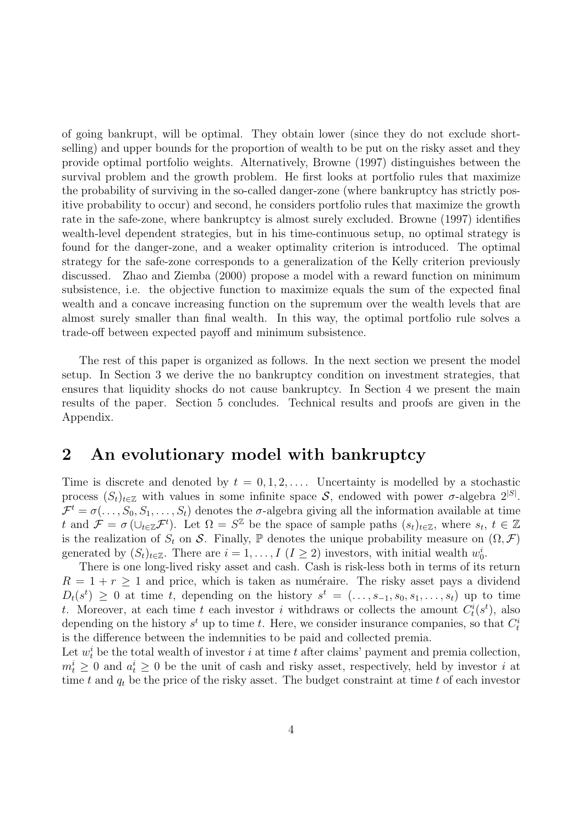of going bankrupt, will be optimal. They obtain lower (since they do not exclude shortselling) and upper bounds for the proportion of wealth to be put on the risky asset and they provide optimal portfolio weights. Alternatively, Browne (1997) distinguishes between the survival problem and the growth problem. He first looks at portfolio rules that maximize the probability of surviving in the so-called danger-zone (where bankruptcy has strictly positive probability to occur) and second, he considers portfolio rules that maximize the growth rate in the safe-zone, where bankruptcy is almost surely excluded. Browne (1997) identifies wealth-level dependent strategies, but in his time-continuous setup, no optimal strategy is found for the danger-zone, and a weaker optimality criterion is introduced. The optimal strategy for the safe-zone corresponds to a generalization of the Kelly criterion previously discussed. Zhao and Ziemba (2000) propose a model with a reward function on minimum subsistence, i.e. the objective function to maximize equals the sum of the expected final wealth and a concave increasing function on the supremum over the wealth levels that are almost surely smaller than final wealth. In this way, the optimal portfolio rule solves a trade-off between expected payoff and minimum subsistence.

The rest of this paper is organized as follows. In the next section we present the model setup. In Section 3 we derive the no bankruptcy condition on investment strategies, that ensures that liquidity shocks do not cause bankruptcy. In Section 4 we present the main results of the paper. Section 5 concludes. Technical results and proofs are given in the Appendix.

### 2 An evolutionary model with bankruptcy

Time is discrete and denoted by  $t = 0, 1, 2, \ldots$ . Uncertainty is modelled by a stochastic process  $(S_t)_{t \in \mathbb{Z}}$  with values in some infinite space S, endowed with power  $\sigma$ -algebra  $2^{|S|}$ .  $\mathcal{F}^t = \sigma(\ldots, S_0, S_1, \ldots, S_t)$  denotes the  $\sigma$ -algebra giving all the information available at time t and  $\mathcal{F} = \sigma(\cup_{t \in \mathbb{Z}} \mathcal{F}^t)$ . Let  $\Omega = S^{\mathbb{Z}}$  be the space of sample paths  $(s_t)_{t \in \mathbb{Z}}$ , where  $s_t, t \in \mathbb{Z}$ is the realization of  $S_t$  on S. Finally, P denotes the unique probability measure on  $(\Omega, \mathcal{F})$ generated by  $(S_t)_{t \in \mathbb{Z}}$ . There are  $i = 1, ..., I \ (I \geq 2)$  investors, with initial wealth  $w_0^i$ .

There is one long-lived risky asset and cash. Cash is risk-less both in terms of its return  $R = 1 + r \geq 1$  and price, which is taken as numéraire. The risky asset pays a dividend  $D_t(s^t) \geq 0$  at time t, depending on the history  $s^t = (\ldots, s_{-1}, s_0, s_1, \ldots, s_t)$  up to time t. Moreover, at each time t each investor i withdraws or collects the amount  $C_t^i(s^t)$ , also depending on the history  $s^t$  up to time t. Here, we consider insurance companies, so that  $C_t^i$ is the difference between the indemnities to be paid and collected premia.

Let  $w_t^i$  be the total wealth of investor i at time t after claims' payment and premia collection,  $m_t^i \geq 0$  and  $a_t^i \geq 0$  be the unit of cash and risky asset, respectively, held by investor i at time t and  $q_t$  be the price of the risky asset. The budget constraint at time t of each investor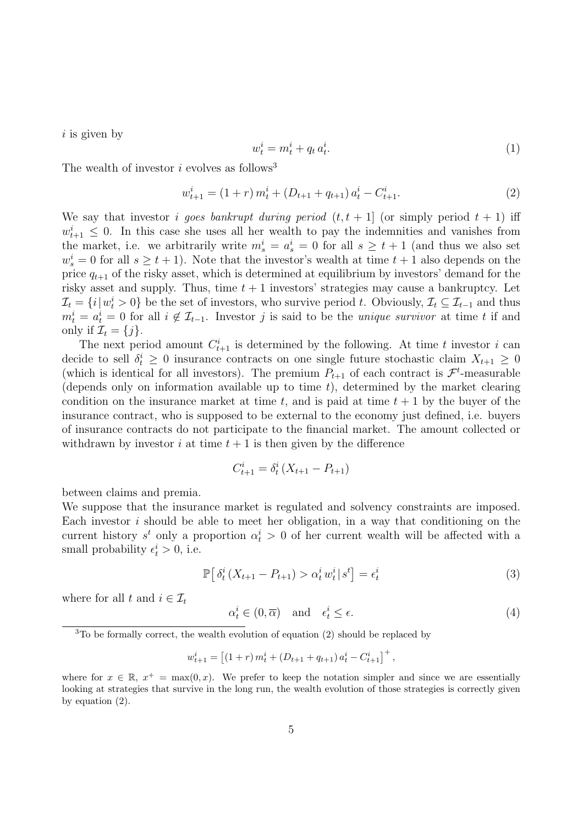$i$  is given by

$$
w_t^i = m_t^i + q_t a_t^i. \tag{1}
$$

The wealth of investor  $i$  evolves as follows<sup>3</sup>

$$
w_{t+1}^i = (1+r) m_t^i + (D_{t+1} + q_{t+1}) a_t^i - C_{t+1}^i.
$$
\n
$$
(2)
$$

We say that investor *i* goes bankrupt during period  $(t, t + 1)$  (or simply period  $t + 1$ ) iff  $w_{t+1}^i \leq 0$ . In this case she uses all her wealth to pay the indemnities and vanishes from the market, i.e. we arbitrarily write  $m_s^i = a_s^i = 0$  for all  $s \geq t+1$  (and thus we also set  $w_s^i = 0$  for all  $s \geq t + 1$ ). Note that the investor's wealth at time  $t + 1$  also depends on the price  $q_{t+1}$  of the risky asset, which is determined at equilibrium by investors' demand for the risky asset and supply. Thus, time  $t + 1$  investors' strategies may cause a bankruptcy. Let  $\mathcal{I}_t = \{i | w_t^i > 0\}$  be the set of investors, who survive period t. Obviously,  $\mathcal{I}_t \subseteq \mathcal{I}_{t-1}$  and thus  $m_t^i = a_t^i = 0$  for all  $i \notin \mathcal{I}_{t-1}$ . Investor j is said to be the *unique survivor* at time t if and only if  $\mathcal{I}_t = \{j\}.$ 

The next period amount  $C_{t+1}^i$  is determined by the following. At time t investor i can decide to sell  $\delta_t^i \geq 0$  insurance contracts on one single future stochastic claim  $X_{t+1} \geq 0$ (which is identical for all investors). The premium  $P_{t+1}$  of each contract is  $\mathcal{F}^t$ -measurable (depends only on information available up to time  $t$ ), determined by the market clearing condition on the insurance market at time t, and is paid at time  $t + 1$  by the buyer of the insurance contract, who is supposed to be external to the economy just defined, i.e. buyers of insurance contracts do not participate to the financial market. The amount collected or withdrawn by investor i at time  $t + 1$  is then given by the difference

$$
C_{t+1}^i = \delta_t^i \left( X_{t+1} - P_{t+1} \right)
$$

between claims and premia.

We suppose that the insurance market is regulated and solvency constraints are imposed. Each investor  $i$  should be able to meet her obligation, in a way that conditioning on the current history  $s^t$  only a proportion  $\alpha_t^i > 0$  of her current wealth will be affected with a small probability  $\epsilon_t^i > 0$ , i.e.

$$
\mathbb{P}\big[\delta_t^i(X_{t+1} - P_{t+1}) > \alpha_t^i w_t^i | s^t\big] = \epsilon_t^i \tag{3}
$$

where for all t and  $i \in \mathcal{I}_t$ 

$$
\alpha_t^i \in (0, \overline{\alpha}) \quad \text{and} \quad \epsilon_t^i \le \epsilon. \tag{4}
$$

<sup>3</sup>To be formally correct, the wealth evolution of equation (2) should be replaced by

$$
w_{t+1}^i = \left[ \left(1+r \right) m_t^i + \left( D_{t+1} + q_{t+1} \right) a_t^i - C_{t+1}^i \right]^+,
$$

where for  $x \in \mathbb{R}$ ,  $x^+ = \max(0, x)$ . We prefer to keep the notation simpler and since we are essentially looking at strategies that survive in the long run, the wealth evolution of those strategies is correctly given by equation (2).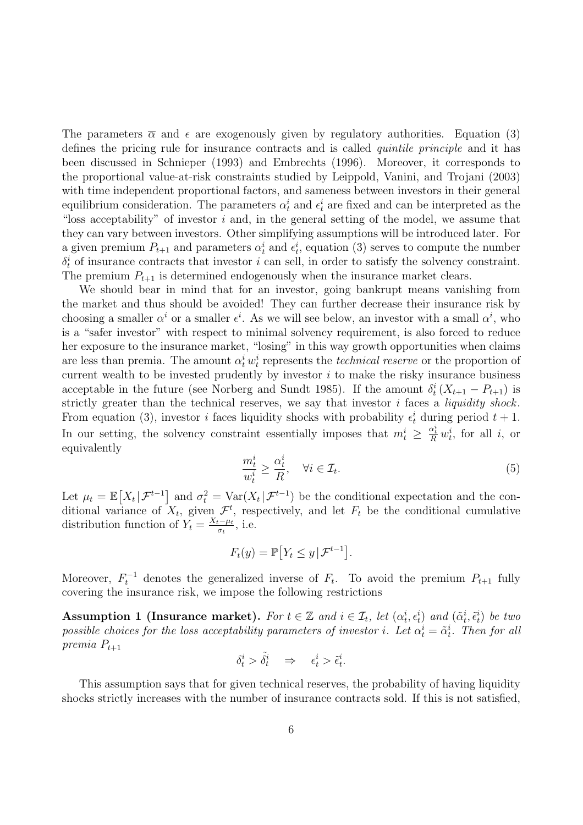The parameters  $\bar{\alpha}$  and  $\epsilon$  are exogenously given by regulatory authorities. Equation (3) defines the pricing rule for insurance contracts and is called *quintile principle* and it has been discussed in Schnieper (1993) and Embrechts (1996). Moreover, it corresponds to the proportional value-at-risk constraints studied by Leippold, Vanini, and Trojani (2003) with time independent proportional factors, and sameness between investors in their general equilibrium consideration. The parameters  $\alpha_t^i$  and  $\epsilon_t^i$  are fixed and can be interpreted as the "loss acceptability" of investor  $i$  and, in the general setting of the model, we assume that they can vary between investors. Other simplifying assumptions will be introduced later. For a given premium  $P_{t+1}$  and parameters  $\alpha_t^i$  and  $\epsilon_t^i$ , equation (3) serves to compute the number  $\delta_t^i$  of insurance contracts that investor i can sell, in order to satisfy the solvency constraint. The premium  $P_{t+1}$  is determined endogenously when the insurance market clears.

We should bear in mind that for an investor, going bankrupt means vanishing from the market and thus should be avoided! They can further decrease their insurance risk by choosing a smaller  $\alpha^i$  or a smaller  $\epsilon^i$ . As we will see below, an investor with a small  $\alpha^i$ , who is a "safer investor" with respect to minimal solvency requirement, is also forced to reduce her exposure to the insurance market, "losing" in this way growth opportunities when claims are less than premia. The amount  $\alpha_t^i w_t^i$  represents the *technical reserve* or the proportion of current wealth to be invested prudently by investor  $i$  to make the risky insurance business acceptable in the future (see Norberg and Sundt 1985). If the amount  $\delta_t^i(X_{t+1} - P_{t+1})$  is strictly greater than the technical reserves, we say that investor  $i$  faces a *liquidity shock*. From equation (3), investor *i* faces liquidity shocks with probability  $\epsilon_t^i$  during period  $t + 1$ . In our setting, the solvency constraint essentially imposes that  $m_t^i \geq \frac{\alpha_t^i}{R} w_t^i$ , for all i, or equivalently

$$
\frac{m_t^i}{w_t^i} \ge \frac{\alpha_t^i}{R}, \quad \forall i \in \mathcal{I}_t.
$$
\n
$$
(5)
$$

Let  $\mu_t = \mathbb{E}[X_t | \mathcal{F}^{t-1}]$  and  $\sigma_t^2 = \text{Var}(X_t | \mathcal{F}^{t-1})$  be the conditional expectation and the conditional variance of  $X_t$ , given  $\mathcal{F}^t$ , respectively, and let  $F_t$  be the conditional cumulative distribution function of  $Y_t = \frac{X_t - \mu_t}{\sigma_t}$  $\frac{e^{-\mu t}}{\sigma_t}$ , i.e.

$$
F_t(y) = \mathbb{P}\big[ Y_t \le y \,|\, \mathcal{F}^{t-1} \big].
$$

Moreover,  $F_t^{-1}$  denotes the generalized inverse of  $F_t$ . To avoid the premium  $P_{t+1}$  fully covering the insurance risk, we impose the following restrictions

Assumption 1 (Insurance market). For  $t \in \mathbb{Z}$  and  $i \in \mathcal{I}_t$ , let  $(\alpha_t^i, \epsilon_t^i)$  and  $(\tilde{\alpha}_t^i, \tilde{\epsilon}_t^i)$  be two possible choices for the loss acceptability parameters of investor *i*. Let  $\alpha_t^i = \tilde{\alpha}_t^i$ . Then for all premia  $P_{t+1}$ 

$$
\delta^i_t > \tilde{\delta^i_t} \quad \Rightarrow \quad \epsilon^i_t > \tilde{\epsilon}^i_t.
$$

This assumption says that for given technical reserves, the probability of having liquidity shocks strictly increases with the number of insurance contracts sold. If this is not satisfied,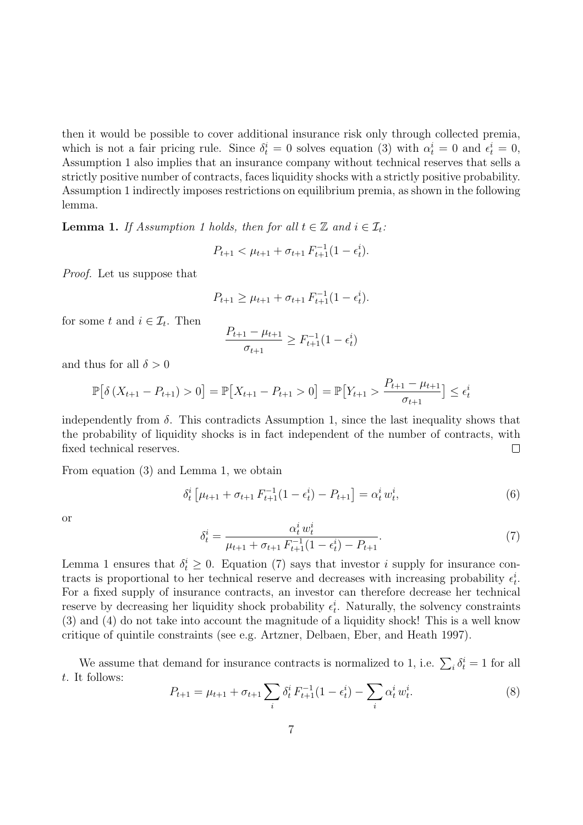then it would be possible to cover additional insurance risk only through collected premia, which is not a fair pricing rule. Since  $\delta_t^i = 0$  solves equation (3) with  $\alpha_t^i = 0$  and  $\epsilon_t^i = 0$ , Assumption 1 also implies that an insurance company without technical reserves that sells a strictly positive number of contracts, faces liquidity shocks with a strictly positive probability. Assumption 1 indirectly imposes restrictions on equilibrium premia, as shown in the following lemma.

**Lemma 1.** If Assumption 1 holds, then for all  $t \in \mathbb{Z}$  and  $i \in \mathcal{I}_t$ :

$$
P_{t+1} < \mu_{t+1} + \sigma_{t+1} F_{t+1}^{-1} (1 - \epsilon_t^i).
$$

Proof. Let us suppose that

$$
P_{t+1} \geq \mu_{t+1} + \sigma_{t+1} F_{t+1}^{-1} (1 - \epsilon_t^i).
$$

for some t and  $i \in \mathcal{I}_t$ . Then

$$
\frac{P_{t+1} - \mu_{t+1}}{\sigma_{t+1}} \ge F_{t+1}^{-1} (1 - \epsilon_t^i)
$$

and thus for all  $\delta > 0$ 

$$
\mathbb{P}\left[\delta\left(X_{t+1} - P_{t+1}\right) > 0\right] = \mathbb{P}\left[X_{t+1} - P_{t+1} > 0\right] = \mathbb{P}\left[Y_{t+1} > \frac{P_{t+1} - \mu_{t+1}}{\sigma_{t+1}}\right] \le \epsilon_t^i
$$

independently from  $\delta$ . This contradicts Assumption 1, since the last inequality shows that the probability of liquidity shocks is in fact independent of the number of contracts, with fixed technical reserves.  $\Box$ 

From equation (3) and Lemma 1, we obtain

$$
\delta_t^i \left[ \mu_{t+1} + \sigma_{t+1} F_{t+1}^{-1} (1 - \epsilon_t^i) - P_{t+1} \right] = \alpha_t^i w_t^i,
$$
\n(6)

or

$$
\delta_t^i = \frac{\alpha_t^i w_t^i}{\mu_{t+1} + \sigma_{t+1} F_{t+1}^{-1} (1 - \epsilon_t^i) - P_{t+1}}.
$$
\n(7)

Lemma 1 ensures that  $\delta_t^i \geq 0$ . Equation (7) says that investor i supply for insurance contracts is proportional to her technical reserve and decreases with increasing probability  $\epsilon_t^i$ . For a fixed supply of insurance contracts, an investor can therefore decrease her technical reserve by decreasing her liquidity shock probability  $\epsilon_t^i$ . Naturally, the solvency constraints (3) and (4) do not take into account the magnitude of a liquidity shock! This is a well know critique of quintile constraints (see e.g. Artzner, Delbaen, Eber, and Heath 1997).

We assume that demand for insurance contracts is normalized to 1, i.e.  $\sum_i \delta_t^i = 1$  for all t. It follows:

$$
P_{t+1} = \mu_{t+1} + \sigma_{t+1} \sum_{i} \delta_t^i F_{t+1}^{-1} (1 - \epsilon_t^i) - \sum_{i} \alpha_t^i w_t^i.
$$
 (8)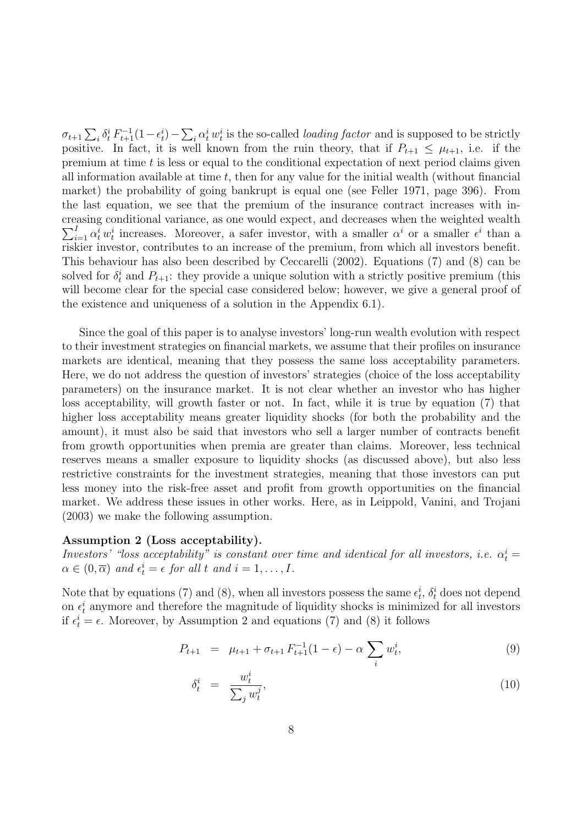$\sigma_{t+1}\sum_i\delta_t^i F_{t+1}^{-1}(1-\epsilon_t^i)-\sum_i\alpha_t^i w_t^i$  is the so-called *loading factor* and is supposed to be strictly positive. In fact, it is well known from the ruin theory, that if  $P_{t+1} \leq \mu_{t+1}$ , i.e. if the premium at time  $t$  is less or equal to the conditional expectation of next period claims given all information available at time  $t$ , then for any value for the initial wealth (without financial market) the probability of going bankrupt is equal one (see Feller 1971, page 396). From the last equation, we see that the premium of the insurance contract increases with increasing conditional variance, as one would expect, and decr eases when the weighted wealth  $\sum_{i=1}^I \alpha_i^i w_i^i$  increases. Moreover, a safer investor, with a smaller  $\alpha^i$  or a smaller  $\epsilon^i$  than a riskier investor, contributes to an increase of the premium, from which all investors benefit. This behaviour has also been described by Ceccarelli (2002). Equations (7) and (8) can be solved for  $\delta_t^i$  and  $P_{t+1}$ : they provide a unique solution with a strictly positive premium (this will become clear for the special case considered below; however, we give a general proof of the existence and uniqueness of a solution in the Appendix 6.1).

Since the goal of this paper is to analyse investors' long-run wealth evolution with respect to their investment strategies on financial markets, we assume that their profiles on insurance markets are identical, meaning that they possess the same loss acceptability parameters. Here, we do not address the question of investors' strategies (choice of the loss acceptability parameters) on the insurance market. It is not clear whether an investor who has higher loss acceptability, will growth faster or not. In fact, while it is true by equation (7) that higher loss acceptability means greater liquidity shocks (for both the probability and the amount), it must also be said that investors who sell a larger number of contracts benefit from growth opportunities when premia are greater than claims. Moreover, less technical reserves means a smaller exposure to liquidity shocks (as discussed above), but also less restrictive constraints for the investment strategies, meaning that those investors can put less money into the risk-free asset and profit from growth opportunities on the financial market. We address these issues in other works. Here, as in Leippold, Vanini, and Trojani (2003) we make the following assumption.

#### Assumption 2 (Loss acceptability).

Investors' "loss acceptability" is constant over time and identical for all investors, i.e.  $\alpha_t^i =$  $\alpha \in (0, \overline{\alpha})$  and  $\epsilon_t^i = \epsilon$  for all t and  $i = 1, \ldots, I$ .

Note that by equations (7) and (8), when all investors possess the same  $\epsilon_t^i$ ,  $\delta_t^i$  does not depend on  $\epsilon_t^i$  anymore and therefore the magnitude of liquidity shocks is minimized for all investors if  $\epsilon_t^i = \epsilon$ . Moreover, by Assumption 2 and equations (7) and (8) it follows

$$
P_{t+1} = \mu_{t+1} + \sigma_{t+1} F_{t+1}^{-1} (1 - \epsilon) - \alpha \sum_{i} w_{t}^{i}, \qquad (9)
$$

$$
\delta_t^i = \frac{w_t^i}{\sum_j w_t^j},\tag{10}
$$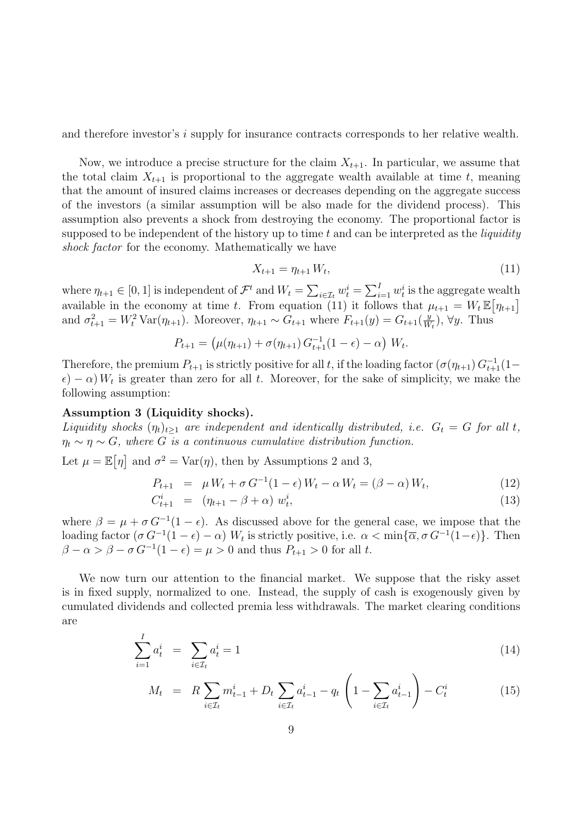and therefore investor's  $i$  supply for insurance contracts corresponds to her relative wealth.

Now, we introduce a precise structure for the claim  $X_{t+1}$ . In particular, we assume that the total claim  $X_{t+1}$  is proportional to the aggregate wealth available at time t, meaning that the amount of insured claims increases or decreases depending on the aggregate success of the investors (a similar assumption will be also made for the dividend process). This assumption also prevents a shock from destroying the economy. The proportional factor is supposed to be independent of the history up to time t and can be interpreted as the *liquidity* shock factor for the economy. Mathematically we have

$$
X_{t+1} = \eta_{t+1} W_t, \tag{11}
$$

where  $\eta_{t+1} \in [0, 1]$  is independent of  $\mathcal{F}^t$  and  $W_t = \sum_{i \in \mathcal{I}_t} w_t^i = \sum_{i=1}^I w_t^i$  is the aggregate wealth available in the economy at time t. From equation (11) it follows that  $\mu_{t+1} = W_t \mathbb{E}[\eta_{t+1}]$ and  $\sigma_{t+1}^2 = W_t^2 \text{Var}(\eta_{t+1})$ . Moreover,  $\eta_{t+1} \sim G_{t+1}$  where  $F_{t+1}(y) = G_{t+1}(\frac{y}{W})$  $\frac{y}{W_t}$ ,  $\forall y$ . Thus

$$
P_{t+1} = (\mu(\eta_{t+1}) + \sigma(\eta_{t+1}) G_{t+1}^{-1} (1 - \epsilon) - \alpha) W_t.
$$

Therefore, the premium  $P_{t+1}$  is strictly positive for all t, if the loading factor  $(\sigma(\eta_{t+1}) G_{t+1}^{-1}(1-\eta_{t+1}) G_{t+1}^{-1})$  $\epsilon$ ) –  $\alpha$ )  $W_t$  is greater than zero for all t. Moreover, for the sake of simplicity, we make the following assumption:

#### Assumption 3 (Liquidity shocks).

Liquidity shocks  $(\eta_t)_{t\geq 1}$  are independent and identically distributed, i.e.  $G_t = G$  for all t,  $\eta_t \sim \eta \sim G$ , where G is a continuous cumulative distribution function.

Let  $\mu = \mathbb{E}[\eta]$  and  $\sigma^2 = \text{Var}(\eta)$ , then by Assumptions 2 and 3,

$$
P_{t+1} = \mu W_t + \sigma G^{-1} (1 - \epsilon) W_t - \alpha W_t = (\beta - \alpha) W_t, \tag{12}
$$

$$
C_{t+1}^i = (\eta_{t+1} - \beta + \alpha) w_t^i, \tag{13}
$$

where  $\beta = \mu + \sigma G^{-1}(1 - \epsilon)$ . As discussed above for the general case, we impose that the loading factor  $(\sigma G^{-1}(1-\epsilon) - \alpha)$  W<sub>t</sub> is strictly positive, i.e.  $\alpha < \min{\{\overline{\alpha}, \sigma G^{-1}(1-\epsilon)\}}$ . Then  $\beta - \alpha > \beta - \sigma G^{-1}(1 - \epsilon) = \mu > 0$  and thus  $P_{t+1} > 0$  for all t.

We now turn our attention to the financial market. We suppose that the risky asset is in fixed supply, normalized to one. Instead, the supply of cash is exogenously given by cumulated dividends and collected premia less withdrawals. The market clearing conditions are

$$
\sum_{i=1}^{I} a_t^i = \sum_{i \in \mathcal{I}_t} a_t^i = 1 \tag{14}
$$

$$
M_t = R \sum_{i \in \mathcal{I}_t} m_{t-1}^i + D_t \sum_{i \in \mathcal{I}_t} a_{t-1}^i - q_t \left( 1 - \sum_{i \in \mathcal{I}_t} a_{t-1}^i \right) - C_t^i \tag{15}
$$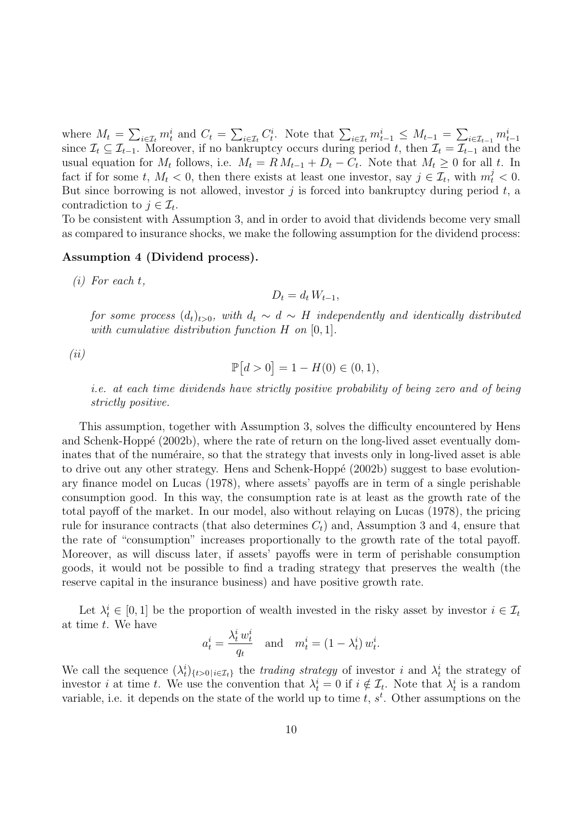where  $M_t = \sum_{i \in \mathcal{I}_t} m_t^i$  and  $C_t = \sum_{i \in \mathcal{I}_t} C_t^i$ . Note that  $\sum_{i \in \mathcal{I}_t} m_{t-1}^i \leq M_{t-1} = \sum_{i \in \mathcal{I}_{t-1}} m_{t-1}^i$ since  $\mathcal{I}_t \subseteq \mathcal{I}_{t-1}$ . Moreover, if no bankruptcy occurs during period t, then  $\mathcal{I}_t = \mathcal{I}_{t-1}$  and the usual equation for  $M_t$  follows, i.e.  $M_t = R M_{t-1} + D_t - C_t$ . Note that  $M_t \geq 0$  for all t. In fact if for some t,  $M_t < 0$ , then there exists at least one investor, say  $j \in \mathcal{I}_t$ , with  $m_t^j < 0$ . But since borrowing is not allowed, investor  $j$  is forced into bankruptcy during period  $t$ , a contradiction to  $j \in \mathcal{I}_t$ .

To be consistent with Assumption 3, and in order to avoid that dividends become very small as compared to insurance shocks, we make the following assumption for the dividend process:

### Assumption 4 (Dividend process).

(i) For each t,

$$
D_t = d_t W_{t-1},
$$

for some process  $(d_t)_{t>0}$ , with  $d_t \sim d \sim H$  independently and identically distributed with cumulative distribution function  $H$  on  $[0, 1]$ .

(ii)

$$
\mathbb{P}[d>0] = 1 - H(0) \in (0,1),
$$

i.e. at each time dividends have strictly positive probability of being zero and of being strictly positive.

This assumption, together with Assumption 3, solves the difficulty encountered by Hens and Schenk-Hoppé (2002b), where the rate of return on the long-lived asset eventually dominates that of the numéraire, so that the strategy that invests only in long-lived asset is able to drive out any other strategy. Hens and Schenk-Hoppé (2002b) suggest to base evolutionary finance model on Lucas (1978), where assets' payoffs are in term of a single perishable consumption good. In this way, the consumption rate is at least as the growth rate of the total payoff of the market. In our model, also without relaying on Lucas (1978), the pricing rule for insurance contracts (that also determines  $C_t$ ) and, Assumption 3 and 4, ensure that the rate of "consumption" increases proportionally to the growth rate of the total payoff. Moreover, as will discuss later, if assets' payoffs were in term of perishable consumption goods, it would not be possible to find a trading strategy that preserves the wealth (the reserve capital in the insurance business) and have positive growth rate.

Let  $\lambda_t^i \in [0,1]$  be the proportion of wealth invested in the risky asset by investor  $i \in \mathcal{I}_t$ at time t. We have

$$
a_t^i = \frac{\lambda_t^i w_t^i}{q_t} \quad \text{and} \quad m_t^i = (1 - \lambda_t^i) w_t^i.
$$

We call the sequence  $(\lambda_t^i)_{\{t>0\}}\in\mathcal{I}_t$  the trading strategy of investor i and  $\lambda_t^i$  the strategy of investor *i* at time *t*. We use the convention that  $\lambda_t^i = 0$  if  $i \notin \mathcal{I}_t$ . Note that  $\lambda_t^i$  is a random variable, i.e. it depends on the state of the world up to time  $t, s<sup>t</sup>$ . Other assumptions on the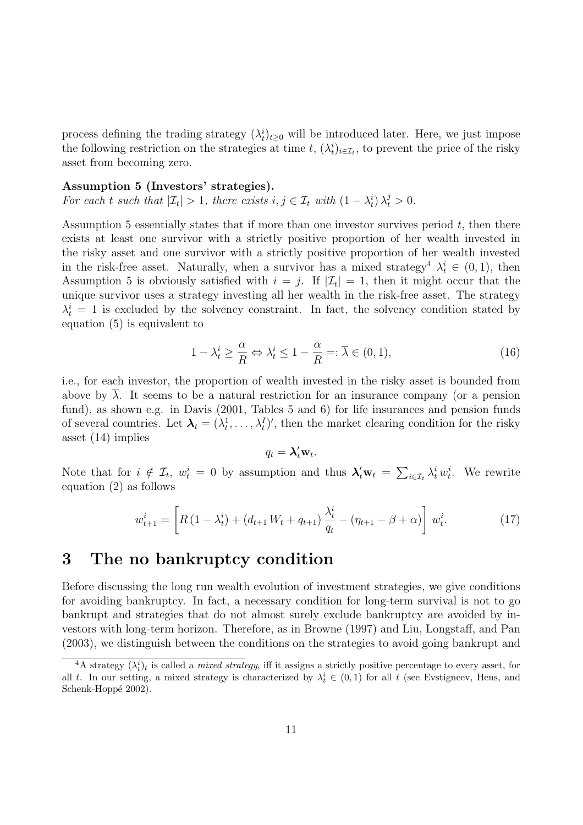process defining the trading strategy  $(\lambda_t^i)_{t\geq 0}$  will be introduced later. Here, we just impose the following restriction on the strategies at time t,  $(\lambda_t^i)_{i \in \mathcal{I}_t}$ , to prevent the price of the risky asset from becoming zero.

Assumption 5 (Investors' strategies).

For each t such that  $|\mathcal{I}_t| > 1$ , there exists  $i, j \in \mathcal{I}_t$  with  $(1 - \lambda_t^i) \lambda_t^j > 0$ .

Assumption 5 essentially states that if more than one investor survives period  $t$ , then there exists at least one survivor with a strictly positive proportion of her wealth invested in the risky asset and one survivor with a strictly positive proportion of her wealth invested in the risk-free asset. Naturally, when a survivor has a mixed strategy<sup>4</sup>  $\lambda_t^i \in (0,1)$ , then Assumption 5 is obviously satisfied with  $i = j$ . If  $|\mathcal{I}_t| = 1$ , then it might occur that the unique survivor uses a strategy investing all her wealth in the risk-free asset. The strategy  $\lambda_t^i = 1$  is excluded by the solvency constraint. In fact, the solvency condition stated by equation (5) is equivalent to

$$
1 - \lambda_t^i \ge \frac{\alpha}{R} \Leftrightarrow \lambda_t^i \le 1 - \frac{\alpha}{R} =: \overline{\lambda} \in (0, 1), \tag{16}
$$

i.e., for each investor, the proportion of wealth invested in the risky asset is bounded from above by  $\lambda$ . It seems to be a natural restriction for an insurance company (or a pension fund), as shown e.g. in Davis (2001, Tables 5 and 6) for life insurances and pension funds of several countries. Let  $\lambda_t = (\lambda_t^1, \dots, \lambda_t^I)'$ , then the market clearing condition for the risky asset (14) implies

$$
q_t = \mathbf{\lambda}_t^{\prime} \mathbf{w}_t.
$$

Note that for  $i \notin \mathcal{I}_t$ ,  $w_t^i = 0$  by assumption and thus  $\lambda'_t w_t = \sum_{i \in \mathcal{I}_t} \lambda_t^i w_t^i$ . We rewrite equation (2) as follows

$$
w_{t+1}^i = \left[ R\left(1 - \lambda_t^i\right) + \left(d_{t+1}W_t + q_{t+1}\right) \frac{\lambda_t^i}{q_t} - \left(\eta_{t+1} - \beta + \alpha\right) \right] w_t^i. \tag{17}
$$

## 3 The no bankruptcy condition

Before discussing the long run wealth evolution of investment strategies, we give conditions for avoiding bankruptcy. In fact, a necessary condition for long-term survival is not to go bankrupt and strategies that do not almost surely exclude bankruptcy are avoided by investors with long-term horizon. Therefore, as in Browne (1997) and Liu, Longstaff, and Pan (2003), we distinguish between the conditions on the strategies to avoid going bankrupt and

<sup>&</sup>lt;sup>4</sup>A strategy  $(\lambda_t^i)_t$  is called a *mixed strategy*, iff it assigns a strictly positive percentage to every asset, for all t. In our setting, a mixed strategy is characterized by  $\lambda_t^i \in (0,1)$  for all t (see Evstigneev, Hens, and Schenk-Hoppé 2002).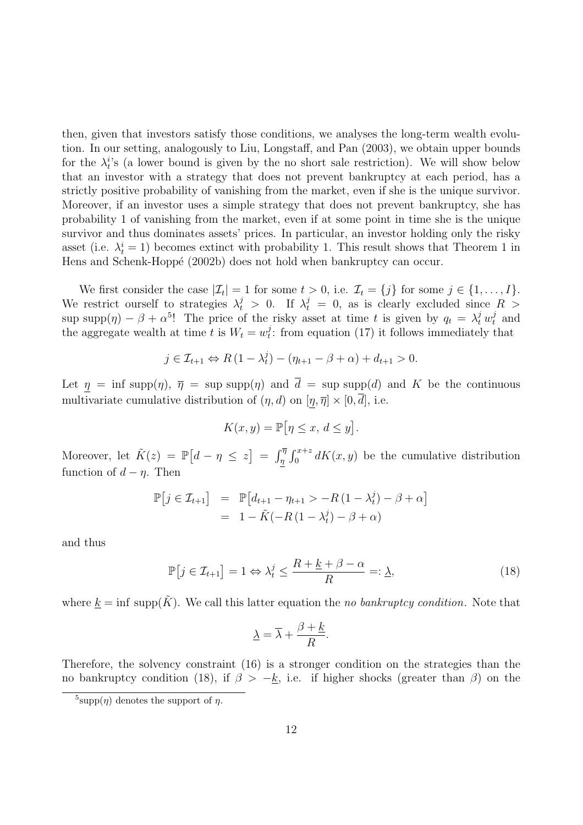then, given that investors satisfy those conditions, we analyses the long-term wealth evolution. In our setting, analogously to Liu, Longstaff, and Pan (2003), we obtain upper bounds for the  $\lambda_t^i$ 's (a lower bound is given by the no short sale restriction). We will show below that an investor with a strategy that does not prevent bankruptcy at each period, has a strictly positive probability of vanishing from the market, even if she is the unique survivor. Moreover, if an investor uses a simple strategy that does not prevent bankruptcy, she has probability 1 of vanishing from the market, even if at some point in time she is the unique survivor and thus dominates assets' prices. In particular, an investor holding only the risky asset (i.e.  $\lambda_t^i = 1$ ) becomes extinct with probability 1. This result shows that Theorem 1 in Hens and Schenk-Hoppé (2002b) does not hold when bankruptcy can occur.

We first consider the case  $|\mathcal{I}_t| = 1$  for some  $t > 0$ , i.e.  $\mathcal{I}_t = \{j\}$  for some  $j \in \{1, ..., I\}$ . We restrict ourself to strategies  $\lambda_t^j > 0$ . If  $\lambda_t^j = 0$ , as is clearly excluded since  $R >$ sup supp $(\eta) - \beta + \alpha^{5}$ ! The price of the risky asset at time t is given by  $q_t = \lambda_t^j w_t^j$  and the aggregate wealth at time t is  $W_t = w_t^j$  $t_i$ : from equation (17) it follows immediately that

$$
j \in \mathcal{I}_{t+1} \Leftrightarrow R\left(1 - \lambda_t^j\right) - \left(\eta_{t+1} - \beta + \alpha\right) + d_{t+1} > 0.
$$

Let  $\eta = \inf \text{supp}(\eta)$ ,  $\overline{\eta} = \sup \text{supp}(\eta)$  and  $\overline{d} = \sup \text{supp}(d)$  and K be the continuous multivariate cumulative distribution of  $(\eta, d)$  on  $[\eta, \overline{\eta}] \times [0, \overline{d}]$ , i.e.

$$
K(x, y) = \mathbb{P} \big[ \eta \le x, \, d \le y \big].
$$

Moreover, let  $\tilde{K}(z) = \mathbb{P}[d - \eta \leq z] = \int_{\eta}^{\overline{\eta}} \int_{0}^{x+z} dK(x, y)$  be the cumulative distribution function of  $d - \eta$ . Then

$$
\mathbb{P}\left[j \in \mathcal{I}_{t+1}\right] = \mathbb{P}\left[d_{t+1} - \eta_{t+1} > -R\left(1 - \lambda_t^j\right) - \beta + \alpha\right] \\
= 1 - \tilde{K}(-R\left(1 - \lambda_t^j\right) - \beta + \alpha)
$$

and thus

$$
\mathbb{P}\left[j \in \mathcal{I}_{t+1}\right] = 1 \Leftrightarrow \lambda_t^j \le \frac{R + \underline{k} + \beta - \alpha}{R} =: \underline{\lambda},\tag{18}
$$

where  $\underline{k} = \inf \text{supp}(\tilde{K})$ . We call this latter equation the no bankruptcy condition. Note that

$$
\underline{\lambda} = \overline{\lambda} + \frac{\beta + \underline{k}}{R}.
$$

Therefore, the solvency constraint (16) is a stronger condition on the strategies than the no bankruptcy condition (18), if  $\beta > -k$ , i.e. if higher shocks (greater than  $\beta$ ) on the

<sup>&</sup>lt;sup>5</sup>supp $(\eta)$  denotes the support of  $\eta$ .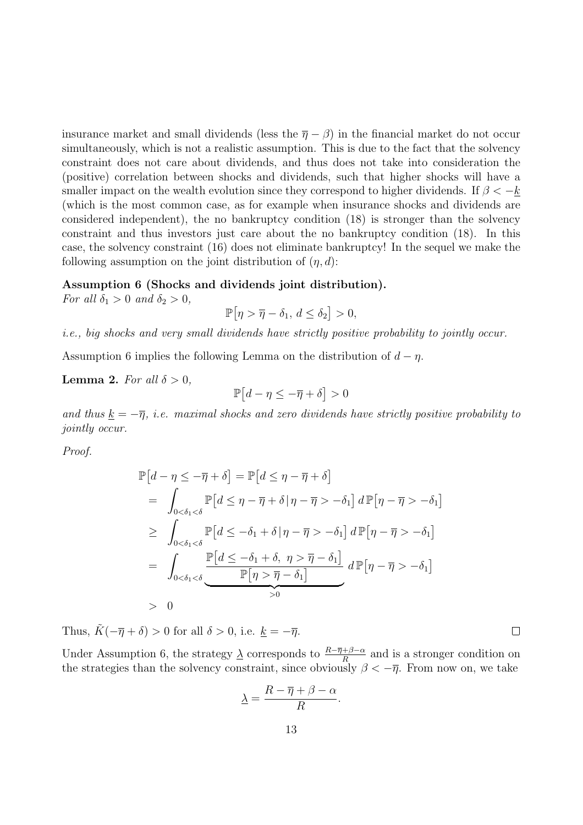insurance market and small dividends (less the  $\overline{\eta} - \beta$ ) in the financial market do not occur simultaneously, which is not a realistic assumption. This is due to the fact that the solvency constraint does not care about dividends, and thus does not take into consideration the (positive) correlation between shocks and dividends, such that higher shocks will have a smaller impact on the wealth evolution since they correspond to higher dividends. If  $\beta < -k$ (which is the most common case, as for example when insurance shocks and dividends are considered independent), the no bankruptcy condition (18) is stronger than the solvency constraint and thus investors just care about the no bankruptcy condition (18). In this case, the solvency constraint (16) does not eliminate bankruptcy! In the sequel we make the following assumption on the joint distribution of  $(\eta, d)$ :

### Assumption 6 (Shocks and dividends joint distribution).

For all  $\delta_1 > 0$  and  $\delta_2 > 0$ ,

$$
\mathbb{P} \big[ \eta > \overline{\eta} - \delta_1, \, d \le \delta_2 \big] > 0,
$$

i.e., big shocks and very small dividends have strictly positive probability to jointly occur.

Assumption 6 implies the following Lemma on the distribution of  $d - \eta$ .

### **Lemma 2.** For all  $\delta > 0$ ,

$$
\mathbb{P}\big[d-\eta\leq-\overline{\eta}+\delta\big]>0
$$

and thus  $\underline{k} = -\overline{\eta}$ , i.e. maximal shocks and zero dividends have strictly positive probability to jointly occur.

Proof.

$$
\mathbb{P}[d - \eta \leq -\overline{\eta} + \delta] = \mathbb{P}[d \leq \eta - \overline{\eta} + \delta]
$$
\n
$$
= \int_{0 < \delta_1 < \delta} \mathbb{P}[d \leq \eta - \overline{\eta} + \delta | \eta - \overline{\eta} > -\delta_1] d \mathbb{P}[\eta - \overline{\eta} > -\delta_1]
$$
\n
$$
\geq \int_{0 < \delta_1 < \delta} \mathbb{P}[d \leq -\delta_1 + \delta | \eta - \overline{\eta} > -\delta_1] d \mathbb{P}[\eta - \overline{\eta} > -\delta_1]
$$
\n
$$
= \int_{0 < \delta_1 < \delta} \frac{\mathbb{P}[d \leq -\delta_1 + \delta, \eta > \overline{\eta} - \delta_1]}{\mathbb{P}[\eta > \overline{\eta} - \delta_1]} d \mathbb{P}[\eta - \overline{\eta} > -\delta_1]
$$
\n
$$
> 0
$$

Thus,  $\tilde{K}(-\overline{\eta}+\delta) > 0$  for all  $\delta > 0$ , i.e.  $k = -\overline{\eta}$ .

Under Assumption 6, the strategy  $\frac{\lambda}{\Lambda}$  corresponds to  $\frac{R-\overline{\eta}+\beta-\alpha}{R}$  and is a stronger condition on the strategies than the solvency constraint, since obviously  $\beta < -\overline{\eta}$ . From now on, we take

$$
\lambda = \frac{R - \overline{\eta} + \beta - \alpha}{R}.
$$

 $\Box$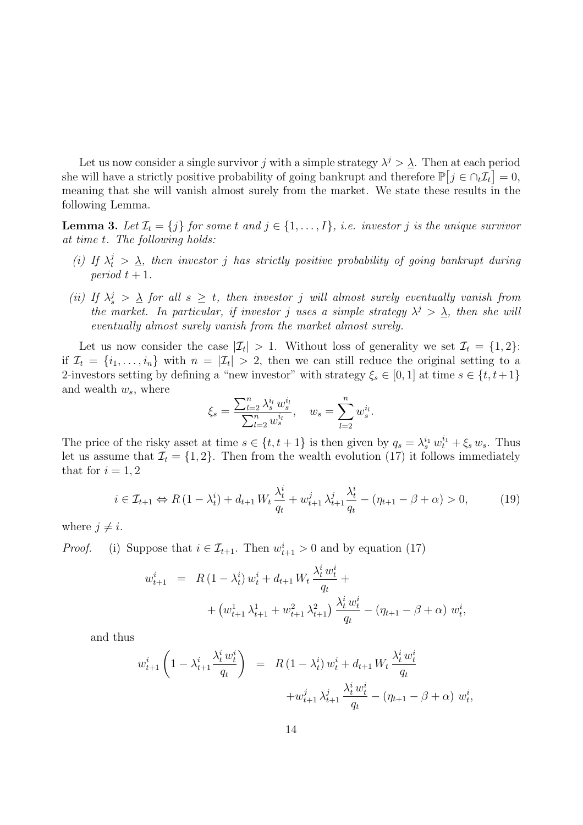Let us now consider a single survivor j with a simple strategy  $\lambda^j > \underline{\lambda}$ . Then at each period she will have a strictly positive probability of going bankrupt and therefore  $\mathbb{P}\left[j \in \bigcap_t \mathcal{I}_t\right] = 0$ , meaning that she will vanish almost surely from the market. We state these results in the following Lemma.

**Lemma 3.** Let  $\mathcal{I}_t = \{j\}$  for some t and  $j \in \{1, ..., I\}$ , i.e. investor j is the unique survivor at time t. The following holds:

- (i) If  $\lambda_t^j > \underline{\lambda}$ , then investor j has strictly positive probability of going bankrupt during period  $t + 1$ .
- (ii) If  $\lambda_s^j$  >  $\underline{\lambda}$  for all  $s \ge t$ , then investor j will almost surely eventually vanish from the market. In particular, if investor j uses a simple strategy  $\lambda^j > \lambda$ , then she will eventually almost surely vanish from the market almost surely.

Let us now consider the case  $|\mathcal{I}_t| > 1$ . Without loss of generality we set  $\mathcal{I}_t = \{1, 2\}$ : if  $\mathcal{I}_t = \{i_1, \ldots, i_n\}$  with  $n = |\mathcal{I}_t| > 2$ , then we can still reduce the original setting to a 2-investors setting by defining a "new investor" with strategy  $\xi_s \in [0,1]$  at time  $s \in \{t,t+1\}$ and wealth  $w_s$ , where

$$
\xi_s = \frac{\sum_{l=2}^n \lambda_s^{i_l} w_s^{i_l}}{\sum_{l=2}^n w_s^{i_l}}, \quad w_s = \sum_{l=2}^n w_s^{i_l}.
$$

The price of the risky asset at time  $s \in \{t, t+1\}$  is then given by  $q_s = \lambda_s^{i_1} w_t^{i_1} + \xi_s w_s$ . Thus let us assume that  $\mathcal{I}_t = \{1, 2\}$ . Then from the wealth evolution (17) it follows immediately that for  $i = 1, 2$ 

$$
i \in \mathcal{I}_{t+1} \Leftrightarrow R\left(1 - \lambda_t^{i}\right) + d_{t+1} W_t \frac{\lambda_t^{i}}{q_t} + w_{t+1}^{j} \lambda_{t+1}^{j} \frac{\lambda_t^{i}}{q_t} - \left(\eta_{t+1} - \beta + \alpha\right) > 0,\tag{19}
$$

where  $j \neq i$ .

*Proof.* (i) Suppose that  $i \in \mathcal{I}_{t+1}$ . Then  $w_{t+1}^i > 0$  and by equation (17)

$$
w_{t+1}^{i} = R(1 - \lambda_{t}^{i}) w_{t}^{i} + d_{t+1} W_{t} \frac{\lambda_{t}^{i} w_{t}^{i}}{q_{t}} +
$$
  
+ 
$$
(w_{t+1}^{1} \lambda_{t+1}^{1} + w_{t+1}^{2} \lambda_{t+1}^{2}) \frac{\lambda_{t}^{i} w_{t}^{i}}{q_{t}} - (\eta_{t+1} - \beta + \alpha) w_{t}^{i},
$$

and thus

$$
w_{t+1}^{i} \left( 1 - \lambda_{t+1}^{i} \frac{\lambda_{t}^{i} w_{t}^{i}}{q_{t}} \right) = R \left( 1 - \lambda_{t}^{i} \right) w_{t}^{i} + d_{t+1} W_{t} \frac{\lambda_{t}^{i} w_{t}^{i}}{q_{t}} + w_{t+1}^{j} \lambda_{t+1}^{j} \frac{\lambda_{t}^{i} w_{t}^{i}}{q_{t}} - \left( \eta_{t+1} - \beta + \alpha \right) w_{t}^{i},
$$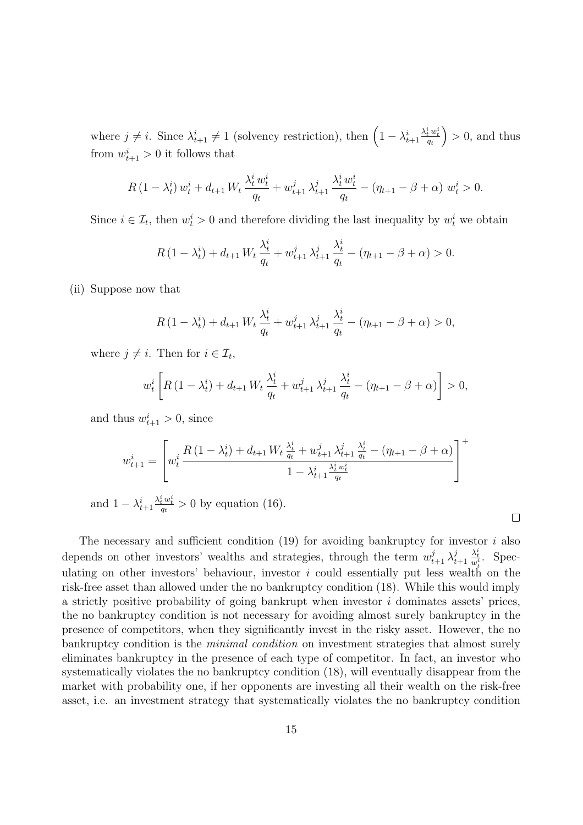where  $j \neq i$ . Since  $\lambda_{t+1}^i \neq 1$  (solvency restriction), then  $\left(1 - \lambda_{t+1}^i\right)$  $\frac{\lambda^i_t\,w^i_t}{q_t}$  $\big) > 0$ , and thus from  $w_{t+1}^i > 0$  it follows that

$$
R\left(1-\lambda_t^i\right)w_t^i + d_{t+1}W_t\frac{\lambda_t^i w_t^i}{q_t} + w_{t+1}^j \lambda_{t+1}^j \frac{\lambda_t^i w_t^i}{q_t} - \left(\eta_{t+1} - \beta + \alpha\right) w_t^i > 0.
$$

Since  $i \in \mathcal{I}_t$ , then  $w_t^i > 0$  and therefore dividing the last inequality by  $w_t^i$  we obtain

$$
R(1 - \lambda_t^i) + d_{t+1} W_t \frac{\lambda_t^i}{q_t} + w_{t+1}^j \lambda_{t+1}^j \frac{\lambda_t^i}{q_t} - (\eta_{t+1} - \beta + \alpha) > 0.
$$

(ii) Suppose now that

$$
R(1 - \lambda_t^i) + d_{t+1} W_t \frac{\lambda_t^i}{q_t} + w_{t+1}^j \lambda_{t+1}^j \frac{\lambda_t^i}{q_t} - (\eta_{t+1} - \beta + \alpha) > 0,
$$

where  $j \neq i$ . Then for  $i \in \mathcal{I}_t$ ,

$$
w_t^i \left[ R \left( 1 - \lambda_t^i \right) + d_{t+1} \, W_t \, \frac{\lambda_t^i}{q_t} + w_{t+1}^j \, \lambda_{t+1}^j \, \frac{\lambda_t^i}{q_t} - (\eta_{t+1} - \beta + \alpha) \right] > 0,
$$

and thus  $w_{t+1}^i > 0$ , since

$$
w_{t+1}^{i} = \left[ w_t^i \frac{R\left(1 - \lambda_t^i\right) + d_{t+1} W_t \frac{\lambda_t^i}{q_t} + w_{t+1}^j \lambda_{t+1}^j \frac{\lambda_t^i}{q_t} - (\eta_{t+1} - \beta + \alpha)}{1 - \lambda_{t+1}^i \frac{\lambda_t^i w_t^i}{q_t}} \right]^+
$$

and  $1 - \lambda_{t+1}^i$  $\frac{\lambda_t^i w_t^i}{q_t} > 0$  by equation (16).

The necessary and sufficient condition  $(19)$  for avoiding bankruptcy for investor i also depends on other investors' wealths and strategies, through the term  $w_{t+1}^j \lambda_t^j$  $t+1$  $\frac{\lambda_t^i}{w_t^i}$ . Speculating on other investors' behaviour, investor  $i$  could essentially put less wealth on the risk-free asset than allowed under the no bankruptcy condition (18). While this would imply a strictly positive probability of going bankrupt when investor  $i$  dominates assets' prices, the no bankruptcy condition is not necessary for avoiding almost surely bankruptcy in the presence of competitors, when they significantly invest in the risky asset. However, the no bankruptcy condition is the *minimal condition* on investment strategies that almost surely eliminates bankruptcy in the presence of each type of competitor. In fact, an investor who systematically violates the no bankruptcy condition (18), will eventually disappear from the market with probability one, if her opponents are investing all their wealth on the risk-free asset, i.e. an investment strategy that systematically violates the no bankruptcy condition

 $\Box$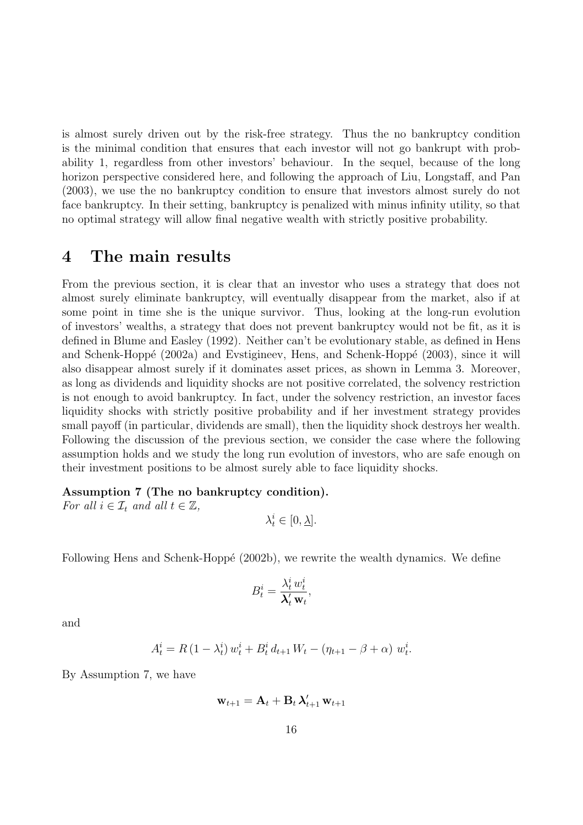is almost surely driven out by the risk-free strategy. Thus the no bankruptcy condition is the minimal condition that ensures that each investor will not go bankrupt with probability 1, regardless from other investors' behaviour. In the sequel, because of the long horizon perspective considered here, and following the approach of Liu, Longstaff, and Pan (2003), we use the no bankruptcy condition to ensure that investors almost surely do not face bankruptcy. In their setting, bankruptcy is penalized with minus infinity utility, so that no optimal strategy will allow final negative wealth with strictly positive probability.

### 4 The main results

From the previous section, it is clear that an investor who uses a strategy that does not almost surely eliminate bankruptcy, will eventually disappear from the market, also if at some point in time she is the unique survivor. Thus, looking at the long-run evolution of investors' wealths, a strategy that does not prevent bankruptcy would not be fit, as it is defined in Blume and Easley (1992). Neither can't be evolutionary stable, as defined in Hens and Schenk-Hoppé (2002a) and Evstigineev, Hens, and Schenk-Hoppé (2003), since it will also disappear almost surely if it dominates asset prices, as shown in Lemma 3. Moreover, as long as dividends and liquidity shocks are not positive correlated, the solvency restriction is not enough to avoid bankruptcy. In fact, under the solvency restriction, an investor faces liquidity shocks with strictly positive probability and if her investment strategy provides small payoff (in particular, dividends are small), then the liquidity shock destroys her wealth. Following the discussion of the previous section, we consider the case where the following assumption holds and we study the long run evolution of investors, who are safe enough on their investment positions to be almost surely able to face liquidity shocks.

Assumption 7 (The no bankruptcy condition).

For all  $i \in \mathcal{I}_t$  and all  $t \in \mathbb{Z}$ ,

$$
\lambda^i_t \in [0,\underline{\lambda}].
$$

Following Hens and Schenk-Hoppé (2002b), we rewrite the wealth dynamics. We define

$$
B_t^i = \frac{\lambda_t^i w_t^i}{\lambda_t^{\prime} \mathbf{w}_t},
$$

and

$$
A_t^i = R (1 - \lambda_t^i) w_t^i + B_t^i d_{t+1} W_t - (\eta_{t+1} - \beta + \alpha) w_t^i.
$$

By Assumption 7, we have

 $\mathbf{w}_{t+1} = \mathbf{A}_t + \mathbf{B}_t \, \boldsymbol{\lambda}'_{t+1} \, \mathbf{w}_{t+1}$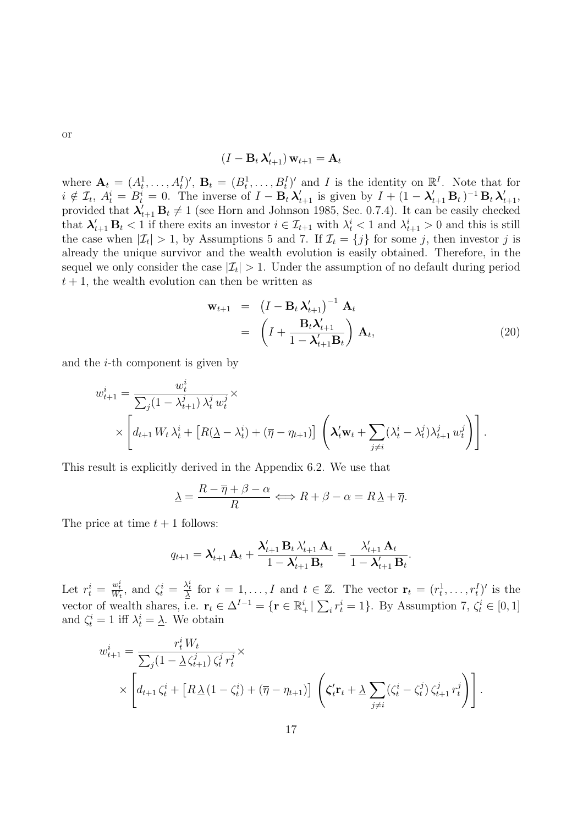or

$$
(I-\mathbf{B}_t\,\boldsymbol{\lambda}'_{t+1})\,\mathbf{w}_{t+1} = \mathbf{A}_t
$$

where  $\mathbf{A}_t = (A_t^1, \ldots, A_t^I)'$ ,  $\mathbf{B}_t = (B_t^1, \ldots, B_t^I)'$  and I is the identity on  $\mathbb{R}^I$ . Note that for  $i \notin \mathcal{I}_t$ ,  $A_t^i = B_t^i = 0$ . The inverse of  $I - \mathbf{B}_t \lambda'_{t+1}$  is given by  $I + (1 - \lambda'_{t+1} \mathbf{B}_t)^{-1} \mathbf{B}_t \lambda'_{t+1}$ , provided that  $\lambda'_{t+1}$   $B_t \neq 1$  (see Horn and Johnson 1985, Sec. 0.7.4). It can be easily checked that  $\lambda'_{t+1}$   $B_t < 1$  if there exits an investor  $i \in \mathcal{I}_{t+1}$  with  $\lambda_t^i < 1$  and  $\lambda_{t+1}^i > 0$  and this is still the case when  $|\mathcal{I}_t| > 1$ , by Assumptions 5 and 7. If  $\mathcal{I}_t = \{j\}$  for some j, then investor j is already the unique survivor and the wealth evolution is easily obtained. Therefore, in the sequel we only consider the case  $|\mathcal{I}_t| > 1$ . Under the assumption of no default during period  $t + 1$ , the wealth evolution can then be written as

$$
\mathbf{w}_{t+1} = (I - \mathbf{B}_t \,\boldsymbol{\lambda}'_{t+1})^{-1} \,\mathbf{A}_t \n= \left( I + \frac{\mathbf{B}_t \boldsymbol{\lambda}'_{t+1}}{1 - \boldsymbol{\lambda}'_{t+1} \mathbf{B}_t} \right) \,\mathbf{A}_t,
$$
\n(20)

.

and the i-th component is given by

$$
w_{t+1}^i = \frac{w_t^i}{\sum_j (1 - \lambda_{t+1}^j) \lambda_t^j w_t^j} \times \left[ d_{t+1} W_t \lambda_t^i + \left[ R(\underline{\lambda} - \lambda_t^i) + (\overline{\eta} - \eta_{t+1}) \right] \left( \lambda_t^{\prime} \mathbf{w}_t + \sum_{j \neq i} (\lambda_t^i - \lambda_t^j) \lambda_{t+1}^j w_t^j \right) \right].
$$

This result is explicitly derived in the Appendix 6.2. We use that

$$
\underline{\lambda} = \frac{R - \overline{\eta} + \beta - \alpha}{R} \Longleftrightarrow R + \beta - \alpha = R\underline{\lambda} + \overline{\eta}.
$$

The price at time  $t + 1$  follows:

$$
q_{t+1} = \boldsymbol{\lambda}'_{t+1} \mathbf{A}_t + \frac{\boldsymbol{\lambda}'_{t+1} \mathbf{B}_t \lambda'_{t+1} \mathbf{A}_t}{1 - \boldsymbol{\lambda}'_{t+1} \mathbf{B}_t} = \frac{\lambda'_{t+1} \mathbf{A}_t}{1 - \boldsymbol{\lambda}'_{t+1} \mathbf{B}_t}
$$

Let  $r_t^i = \frac{w_t^i}{W_t}$ , and  $\zeta_t^i = \frac{\lambda_t^i}{\Delta}$  for  $i = 1, \ldots, I$  and  $t \in \mathbb{Z}$ . The vector  $\mathbf{r}_t = (r_t^1, \ldots, r_t^I)'$  is the vector of wealth shares, i.e.  $\mathbf{r}_t \in \Delta^{I-1} = \{ \mathbf{r} \in \mathbb{R}_+^i \mid \sum_i r_t^i = 1 \}$ . By Assumption 7,  $\zeta_t^i \in [0, 1]$ and  $\zeta_t^i = 1$  iff  $\lambda_t^i = \underline{\lambda}$ . We obtain

$$
w_{t+1}^{i} = \frac{r_{t}^{i} W_{t}}{\sum_{j} (1 - \Delta \zeta_{t+1}^{j}) \zeta_{t}^{j} r_{t}^{j}} \times \left[ d_{t+1} \zeta_{t}^{i} + \left[ R \Delta (1 - \zeta_{t}^{i}) + (\overline{\eta} - \eta_{t+1}) \right] \left( \zeta_{t}^{\prime} \mathbf{r}_{t} + \Delta \sum_{j \neq i} (\zeta_{t}^{i} - \zeta_{t}^{j}) \zeta_{t+1}^{j} r_{t}^{j} \right) \right].
$$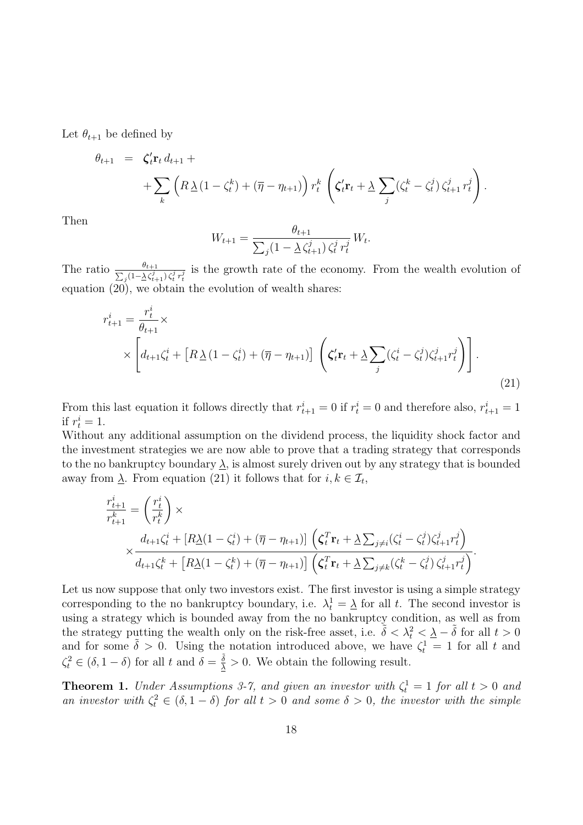Let  $\theta_{t+1}$  be defined by

$$
\theta_{t+1} = \zeta'_t \mathbf{r}_t d_{t+1} + \n+ \sum_k \left( R \underline{\lambda} (1 - \zeta_t^k) + (\overline{\eta} - \eta_{t+1}) \right) r_t^k \left( \zeta'_t \mathbf{r}_t + \underline{\lambda} \sum_j (\zeta_t^k - \zeta_t^j) \zeta_{t+1}^j r_t^j \right).
$$

Then

$$
W_{t+1} = \frac{\theta_{t+1}}{\sum_{j} (1 - \frac{\lambda}{\zeta_{t+1}})^2 \zeta_t^j r_t^j} W_t.
$$

The ratio  $\frac{\theta_{t+1}}{\sum_i (1-\lambda \zeta_i^j)}$  $\frac{\partial t_{t+1}}{\partial s}$   $\frac{1}{(\sqrt{1-\Delta\zeta_{t+1}^j})\zeta_t^j r_t^j}$  is the growth rate of the economy. From the wealth evolution of equation (20), we obtain the evolution of wealth shares:

$$
r_{t+1}^i = \frac{r_t^i}{\theta_{t+1}} \times \left[ d_{t+1} \zeta_t^i + \left[ R \underline{\lambda} \left( 1 - \zeta_t^i \right) + (\overline{\eta} - \eta_{t+1}) \right] \left( \zeta_t' \mathbf{r}_t + \underline{\lambda} \sum_j (\zeta_t^i - \zeta_t^j) \zeta_{t+1}^j r_t^j \right) \right].
$$
\n(21)

From this last equation it follows directly that  $r_{t+1}^i = 0$  if  $r_t^i = 0$  and therefore also,  $r_{t+1}^i = 1$ if  $r_t^i = 1$ .

Without any additional assumption on the dividend process, the liquidity shock factor and the investment strategies we are now able to prove that a trading strategy that corresponds to the no bankruptcy boundary  $\lambda$ , is almost surely driven out by any strategy that is bounded away from  $\underline{\lambda}$ . From equation (21) it follows that for  $i, k \in \mathcal{I}_t$ ,

$$
\frac{r_{t+1}^i}{r_{t+1}^k} = \left(\frac{r_t^i}{r_t^k}\right) \times \times \frac{d_{t+1}\zeta_t^i + [R\Delta(1-\zeta_t^i) + (\overline{\eta} - \eta_{t+1})] \left(\zeta_t^T \mathbf{r}_t + \Delta \sum_{j \neq i} (\zeta_t^i - \zeta_t^j) \zeta_{t+1}^j r_t^j\right)}{d_{t+1}\zeta_t^k + [R\Delta(1-\zeta_t^k) + (\overline{\eta} - \eta_{t+1})] \left(\zeta_t^T \mathbf{r}_t + \Delta \sum_{j \neq k} (\zeta_t^k - \zeta_t^j) \zeta_{t+1}^j r_t^j\right)}.
$$

Let us now suppose that only two investors exist. The first investor is using a simple strategy corresponding to the no bankruptcy boundary, i.e.  $\lambda_t^1 = \underline{\lambda}$  for all t. The second investor is using a strategy which is bounded away from the no bankruptcy condition, as well as from the strategy putting the wealth only on the risk-free asset, i.e.  $\tilde{\delta} < \lambda_t^2 < \underline{\lambda} - \tilde{\delta}$  for all  $t > 0$ and for some  $\tilde{\delta} > 0$ . Using the notation introduced above, we have  $\zeta_t^1 = 1$  for all t and  $\zeta_t^2 \in (\delta, 1-\delta)$  for all t and  $\delta = \frac{\tilde{\delta}}{\Delta} > 0$ . We obtain the following result.

**Theorem 1.** Under Assumptions 3-7, and given an investor with  $\zeta_t^1 = 1$  for all  $t > 0$  and an investor with  $\zeta_t^2 \in (\delta, 1 - \delta)$  for all  $t > 0$  and some  $\delta > 0$ , the investor with the simple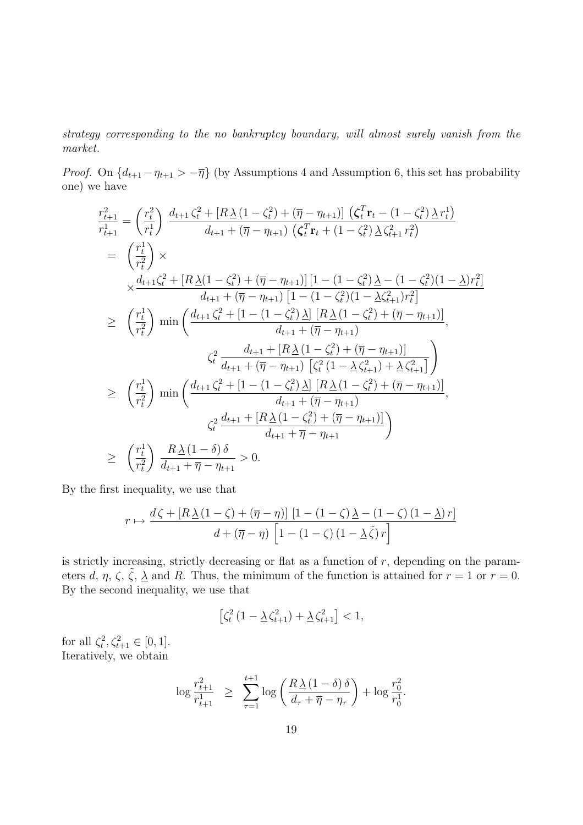strategy corresponding to the no bankruptcy boundary, will almost surely vanish from the market.

*Proof.* On  $\{d_{t+1} - \eta_{t+1} > -\overline{\eta}\}\$  (by Assumptions 4 and Assumption 6, this set has probability one) we have

$$
\frac{r_{t+1}^2}{r_{t+1}^1} = \left(\frac{r_t^2}{r_t^1}\right) \frac{d_{t+1}\zeta_t^2 + [R\Delta(1-\zeta_t^2) + (\overline{\eta} - \eta_{t+1})] \left(\zeta_t^T \mathbf{r}_t - (1-\zeta_t^2) \Delta r_t^1\right)}{d_{t+1} + (\overline{\eta} - \eta_{t+1}) \left(\zeta_t^T \mathbf{r}_t + (1-\zeta_t^2) \Delta \zeta_{t+1}^2 r_t^2\right)}
$$
\n
$$
= \left(\frac{r_t^1}{r_t^2}\right) \times
$$
\n
$$
\times \frac{d_{t+1}\zeta_t^2 + [R\Delta(1-\zeta_t^2) + (\overline{\eta} - \eta_{t+1})] \left[1 - (1-\zeta_t^2) \Delta - (1-\zeta_t^2)(1-\Delta)r_t^2\right]}{d_{t+1} + (\overline{\eta} - \eta_{t+1}) \left[1 - (1-\zeta_t^2)(1-\Delta\zeta_{t+1}^2)r_t^2\right]}
$$
\n
$$
\geq \left(\frac{r_t^1}{r_t^2}\right) \min\left(\frac{d_{t+1}\zeta_t^2 + [1 - (1-\zeta_t^2) \Delta] [R\Delta(1-\zeta_t^2) + (\overline{\eta} - \eta_{t+1})]}{d_{t+1} + (\overline{\eta} - \eta_{t+1})}\right),
$$
\n
$$
\zeta_t^2 \frac{d_{t+1} + [R\Delta(1-\zeta_t^2) + (\overline{\eta} - \eta_{t+1})]}{d_{t+1} + (\overline{\eta} - \eta_{t+1}) \left[\zeta_t^2 (1-\Delta \zeta_{t+1}^2) + \Delta \zeta_{t+1}^2\right]}
$$
\n
$$
\geq \left(\frac{r_t^1}{r_t^2}\right) \min\left(\frac{d_{t+1}\zeta_t^2 + [1 - (1-\zeta_t^2) \Delta] [R\Delta(1-\zeta_t^2) + (\overline{\eta} - \eta_{t+1})]}{d_{t+1} + (\overline{\eta} - \eta_{t+1})}\right),
$$
\n
$$
\zeta_t^2 \frac{d_{t+1} + [R\Delta(1-\zeta_t^2) + (\overline{\eta} - \eta_{t+1})]}
$$

By the first inequality, we use that

$$
r \mapsto \frac{d\zeta + [R\,\underline{\lambda}\,(1-\zeta) + (\overline{\eta} - \eta)]\,\left[1 - (1-\zeta)\,\underline{\lambda} - (1-\zeta)\,(1-\underline{\lambda})\,r\right]}{d + (\overline{\eta} - \eta)\,\left[1 - (1-\zeta)\,(1-\underline{\lambda}\,\tilde{\zeta})\,r\right]}
$$

is strictly increasing, strictly decreasing or flat as a function of  $r$ , depending on the parameters d,  $\eta$ ,  $\zeta$ ,  $\tilde{\zeta}$ ,  $\Delta$  and R. Thus, the minimum of the function is attained for  $r = 1$  or  $r = 0$ . By the second inequality, we use that

$$
\left[\zeta_t^2\left(1-\underline{\lambda}\,\zeta_{t+1}^2\right)+\underline{\lambda}\,\zeta_{t+1}^2\right]<1,
$$

for all  $\zeta_t^2, \zeta_{t+1}^2 \in [0, 1].$ Iteratively, we obtain

$$
\log \frac{r_{t+1}^2}{r_{t+1}^1} \ge \sum_{\tau=1}^{t+1} \log \left( \frac{R \,\underline{\lambda} \,(1-\delta) \,\delta}{d_\tau + \overline{\eta} - \eta_\tau} \right) + \log \frac{r_0^2}{r_0^1}.
$$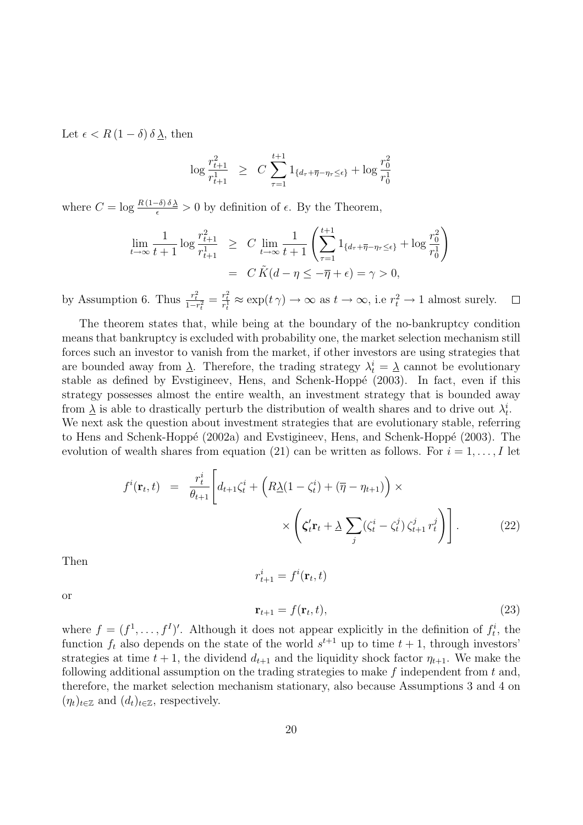Let  $\epsilon < R(1-\delta)\delta\lambda$ , then

$$
\log \frac{r_{t+1}^2}{r_{t+1}^1} \ge C \sum_{\tau=1}^{t+1} 1_{\{d_{\tau} + \overline{\eta} - \eta_{\tau} \le \epsilon\}} + \log \frac{r_0^2}{r_0^1}
$$

where  $C = \log \frac{R(1-\delta)\delta\lambda}{\epsilon} > 0$  by definition of  $\epsilon$ . By the Theorem,

$$
\lim_{t \to \infty} \frac{1}{t+1} \log \frac{r_{t+1}^2}{r_{t+1}^1} \ge C \lim_{t \to \infty} \frac{1}{t+1} \left( \sum_{\tau=1}^{t+1} 1_{\{d_\tau + \overline{\eta} - \eta_\tau \le \epsilon\}} + \log \frac{r_0^2}{r_0^1} \right)
$$
\n
$$
= C \tilde{K}(d - \eta \le -\overline{\eta} + \epsilon) = \gamma > 0,
$$

by Assumption 6. Thus  $\frac{r_t^2}{1-r_t^2} = \frac{r_t^2}{r_t^1} \approx \exp(t\gamma) \to \infty$  as  $t \to \infty$ , i.e  $r_t^2 \to 1$  almost surely.  $\Box$ 

The theorem states that, while being at the boundary of the no-bankruptcy condition means that bankruptcy is excluded with probability one, the market selection mechanism still forces such an investor to vanish from the market, if other investors are using strategies that are bounded away from  $\underline{\lambda}$ . Therefore, the trading strategy  $\lambda_t^i = \underline{\lambda}$  cannot be evolutionary stable as defined by Evstigineev, Hens, and Schenk-Hoppé  $(2003)$ . In fact, even if this strategy possesses almost the entire wealth, an investment strategy that is bounded away from  $\underline{\lambda}$  is able to drastically perturb the distribution of wealth shares and to drive out  $\lambda_t^i$ .

We next ask the question about investment strategies that are evolutionary stable, referring to Hens and Schenk-Hoppé (2002a) and Evstigineev, Hens, and Schenk-Hoppé (2003). The evolution of wealth shares from equation (21) can be written as follows. For  $i = 1, \ldots, I$  let

$$
f^{i}(\mathbf{r}_{t},t) = \frac{r_{t}^{i}}{\theta_{t+1}} \left[ d_{t+1} \zeta_{t}^{i} + \left( R \underline{\lambda} (1 - \zeta_{t}^{i}) + (\overline{\eta} - \eta_{t+1}) \right) \times \right] \times \left( \zeta_{t}^{\prime} \mathbf{r}_{t} + \underline{\lambda} \sum_{j} (\zeta_{t}^{i} - \zeta_{t}^{j}) \zeta_{t+1}^{j} r_{t}^{j} \right) \right].
$$
 (22)

Then

or

$$
r_{t+1}^i = f^i(\mathbf{r}_t, t)
$$
  

$$
\mathbf{r}_{t+1} = f(\mathbf{r}_t, t),
$$
 (23)

where  $f = (f^1, \ldots, f^I)'$ . Although it does not appear explicitly in the definition of  $f_t^i$ , the function  $f_t$  also depends on the state of the world  $s^{t+1}$  up to time  $t + 1$ , through investors' strategies at time  $t + 1$ , the dividend  $d_{t+1}$  and the liquidity shock factor  $\eta_{t+1}$ . We make the following additional assumption on the trading strategies to make  $f$  independent from  $t$  and, therefore, the market selection mechanism stationary, also because Assumptions 3 and 4 on  $(\eta_t)_{t \in \mathbb{Z}}$  and  $(d_t)_{t \in \mathbb{Z}}$ , respectively.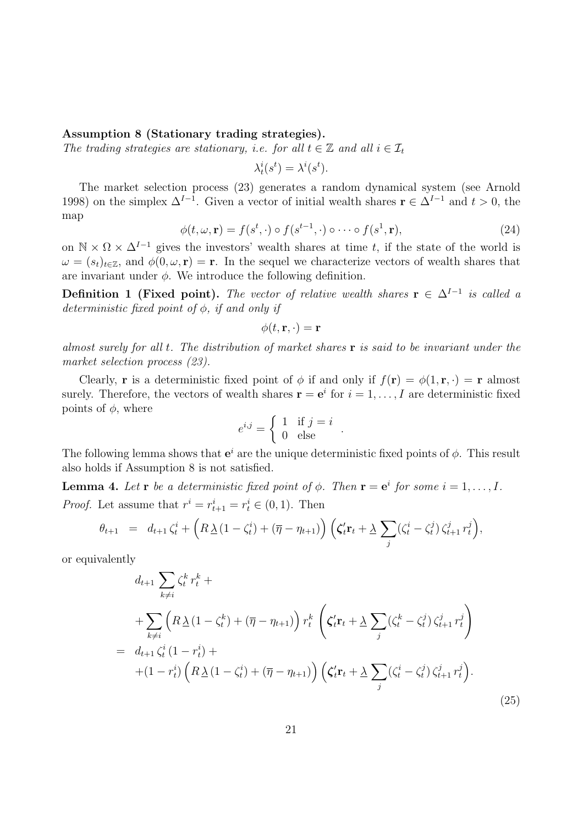### Assumption 8 (Stationary trading strategies).

The trading strategies are stationary, i.e. for all  $t \in \mathbb{Z}$  and all  $i \in \mathcal{I}_t$ 

 $\lambda_t^i(s^t) = \lambda^i(s^t).$ 

The market selection process (23) generates a random dynamical system (see Arnold 1998) on the simplex  $\Delta^{I-1}$ . Given a vector of initial wealth shares  $\mathbf{r} \in \Delta^{I-1}$  and  $t > 0$ , the map

$$
\phi(t,\omega,\mathbf{r}) = f(s^t,\cdot) \circ f(s^{t-1},\cdot) \circ \cdots \circ f(s^1,\mathbf{r}),\tag{24}
$$

on  $\mathbb{N} \times \Omega \times \Delta^{I-1}$  gives the investors' wealth shares at time t, if the state of the world is  $\omega = (s_t)_{t \in \mathbb{Z}}$ , and  $\phi(0, \omega, r) = r$ . In the sequel we characterize vectors of wealth shares that are invariant under  $\phi$ . We introduce the following definition.

**Definition 1 (Fixed point).** The vector of relative wealth shares  $\mathbf{r} \in \Delta^{I-1}$  is called a deterministic fixed point of  $\phi$ , if and only if

$$
\phi(t,\mathbf{r},\cdot)=\mathbf{r}
$$

almost surely for all t. The distribution of market shares  $\bf{r}$  is said to be invariant under the market selection process (23).

Clearly, **r** is a deterministic fixed point of  $\phi$  if and only if  $f(\mathbf{r}) = \phi(1, \mathbf{r}, \cdot) = \mathbf{r}$  almost surely. Therefore, the vectors of wealth shares  $\mathbf{r} = \mathbf{e}^i$  for  $i = 1, \ldots, I$  are deterministic fixed points of  $\phi$ , where

$$
e^{i,j} = \begin{cases} 1 & \text{if } j = i \\ 0 & \text{else} \end{cases}.
$$

The following lemma shows that  $e^i$  are the unique deterministic fixed points of  $\phi$ . This result also holds if Assumption 8 is not satisfied.

**Lemma 4.** Let **r** be a deterministic fixed point of  $\phi$ . Then **r** = **e**<sup>i</sup> for some  $i = 1, ..., I$ . *Proof.* Let assume that  $r^i = r^i_{t+1} = r^i_t \in (0, 1)$ . Then

$$
\theta_{t+1} = d_{t+1} \zeta_t^i + \left( R \underline{\lambda} (1 - \zeta_t^i) + (\overline{\eta} - \eta_{t+1}) \right) \left( \zeta_t^{\prime} \mathbf{r}_t + \underline{\lambda} \sum_j (\zeta_t^i - \zeta_t^j) \zeta_{t+1}^j r_t^j \right),
$$

or equivalently

$$
d_{t+1} \sum_{k \neq i} \zeta_t^k r_t^k +
$$
  
+ 
$$
\sum_{k \neq i} \left( R \underline{\lambda} (1 - \zeta_t^k) + (\overline{\eta} - \eta_{t+1}) \right) r_t^k \left( \zeta_t' \mathbf{r}_t + \underline{\lambda} \sum_j (\zeta_t^k - \zeta_t^j) \zeta_{t+1}^j r_t^j \right)
$$
  
= 
$$
d_{t+1} \zeta_t^i (1 - r_t^i) +
$$
  
+ 
$$
(1 - r_t^i) \left( R \underline{\lambda} (1 - \zeta_t^i) + (\overline{\eta} - \eta_{t+1}) \right) \left( \zeta_t' \mathbf{r}_t + \underline{\lambda} \sum_j (\zeta_t^i - \zeta_t^j) \zeta_{t+1}^j r_t^j \right).
$$
  
(25)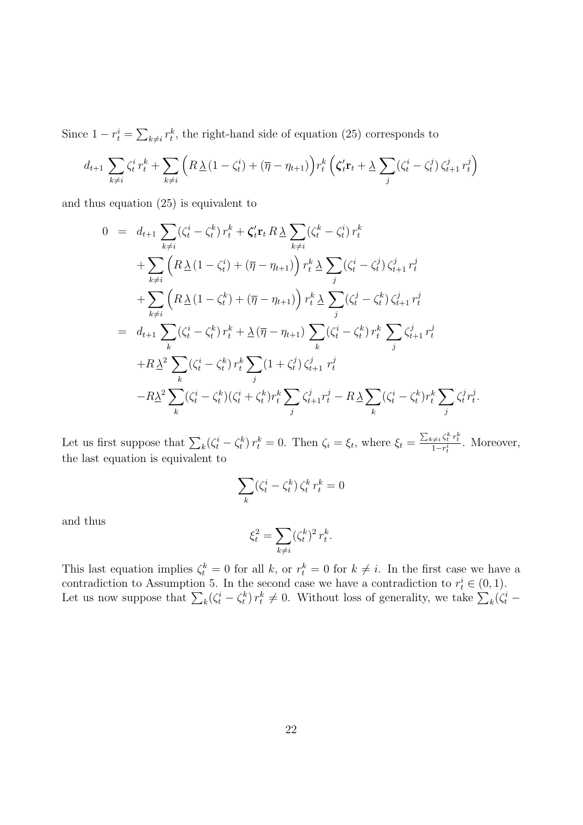Since  $1 - r_t^i = \sum_{k \neq i} r_t^k$ , the right-hand side of equation (25) corresponds to

$$
d_{t+1} \sum_{k \neq i} \zeta_t^i r_t^k + \sum_{k \neq i} \left( R \underline{\lambda} (1 - \zeta_t^i) + (\overline{\eta} - \eta_{t+1}) \right) r_t^k \left( \zeta_t^i \mathbf{r}_t + \underline{\lambda} \sum_j (\zeta_t^i - \zeta_t^j) \zeta_{t+1}^j r_t^j \right)
$$

and thus equation (25) is equivalent to

$$
0 = d_{t+1} \sum_{k \neq i} (\zeta_t^i - \zeta_t^k) r_t^k + \zeta_t^{\prime} \mathbf{r}_t R \underline{\lambda} \sum_{k \neq i} (\zeta_t^k - \zeta_t^i) r_t^k
$$
  
+ 
$$
\sum_{k \neq i} \left( R \underline{\lambda} (1 - \zeta_t^i) + (\overline{\eta} - \eta_{t+1}) \right) r_t^k \underline{\lambda} \sum_j (\zeta_t^i - \zeta_t^j) \zeta_{t+1}^j r_t^j
$$
  
+ 
$$
\sum_{k \neq i} \left( R \underline{\lambda} (1 - \zeta_t^k) + (\overline{\eta} - \eta_{t+1}) \right) r_t^k \underline{\lambda} \sum_j (\zeta_t^j - \zeta_t^k) \zeta_{t+1}^j r_t^j
$$
  
= 
$$
d_{t+1} \sum_k (\zeta_t^i - \zeta_t^k) r_t^k + \underline{\lambda} (\overline{\eta} - \eta_{t+1}) \sum_k (\zeta_t^i - \zeta_t^k) r_t^k \sum_j \zeta_{t+1}^j r_t^j
$$
  
+ 
$$
R \underline{\lambda}^2 \sum_k (\zeta_t^i - \zeta_t^k) r_t^k \sum_j (1 + \zeta_t^j) \zeta_{t+1}^j r_t^j
$$
  
- 
$$
R \underline{\lambda}^2 \sum_k (\zeta_t^i - \zeta_t^k) (\zeta_t^i + \zeta_t^k) r_t^k \sum_j \zeta_{t+1}^j r_t^j - R \underline{\lambda} \sum_k (\zeta_t^i - \zeta_t^k) r_t^k \sum_j \zeta_t^j r_t^j.
$$

Let us first suppose that  $\sum_{k} (\zeta_t^i - \zeta_t^k) r_t^k = 0$ . Then  $\zeta_i = \xi_t$ , where  $\xi_t = \frac{\sum_{k \neq i} \zeta_t^k r_t^k}{1 - r_t^i}$ . Moreover, the last equation is equivalent to

$$
\sum_{k} (\zeta_t^i - \zeta_t^k) \, \zeta_t^k \, r_t^k = 0
$$

and thus

$$
\xi_t^2 = \sum_{k \neq i} (\zeta_t^k)^2 r_t^k.
$$

This last equation implies  $\zeta_t^k = 0$  for all k, or  $r_t^k = 0$  for  $k \neq i$ . In the first case we have a contradiction to Assumption 5. In the second case we have a contradiction to  $r_t^i \in (0,1)$ . Let us now suppose that  $\sum_k (\zeta_t^i - \zeta_t^k) r_t^k \neq 0$ . Without loss of generality, we take  $\sum_k (\zeta_t^i -$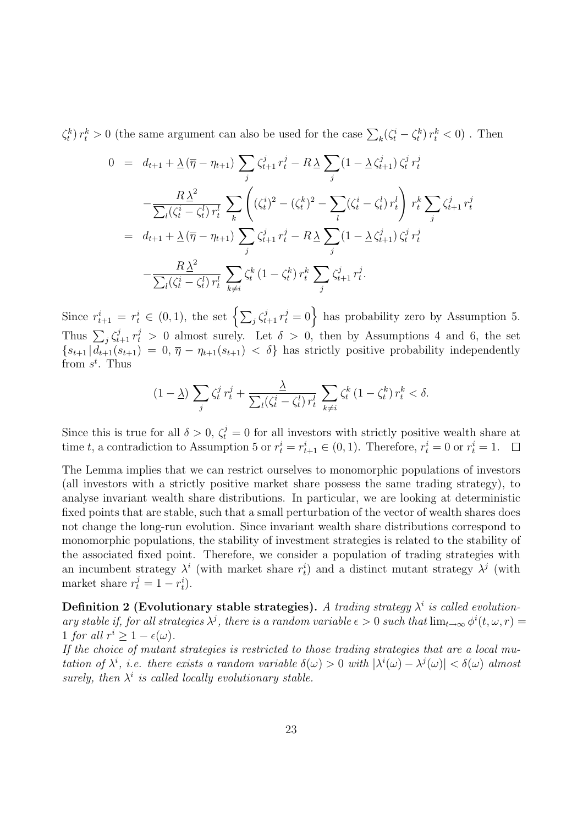$\zeta_t^k$   $r_t^k > 0$  (the same argument can also be used for the case  $\sum_k (\zeta_t^i - \zeta_t^k) r_t^k < 0$ ). Then

$$
0 = d_{t+1} + \underline{\lambda} (\overline{\eta} - \eta_{t+1}) \sum_{j} \zeta_{t+1}^{j} r_{t}^{j} - R \underline{\lambda} \sum_{j} (1 - \underline{\lambda} \zeta_{t+1}^{j}) \zeta_{t}^{j} r_{t}^{j}
$$
  

$$
- \frac{R \underline{\lambda}^{2}}{\sum_{l} (\zeta_{t}^{i} - \zeta_{t}^{l}) r_{t}^{l}} \sum_{k} \left( (\zeta_{t}^{i})^{2} - (\zeta_{t}^{k})^{2} - \sum_{l} (\zeta_{t}^{i} - \zeta_{t}^{l}) r_{t}^{l} \right) r_{t}^{k} \sum_{j} \zeta_{t+1}^{j} r_{t}^{j}
$$
  

$$
= d_{t+1} + \underline{\lambda} (\overline{\eta} - \eta_{t+1}) \sum_{j} \zeta_{t+1}^{j} r_{t}^{j} - R \underline{\lambda} \sum_{j} (1 - \underline{\lambda} \zeta_{t+1}^{j}) \zeta_{t}^{j} r_{t}^{j}
$$
  

$$
- \frac{R \underline{\lambda}^{2}}{\sum_{l} (\zeta_{t}^{i} - \zeta_{t}^{l}) r_{t}^{l}} \sum_{k \neq i} \zeta_{t}^{k} (1 - \zeta_{t}^{k}) r_{t}^{k} \sum_{j} \zeta_{t+1}^{j} r_{t}^{j}.
$$

Since  $r_{t+1}^i = r_t^i \in (0,1)$ , the set  $\left\{\sum_j \zeta_{t+1}^j r_t^j = 0\right\}$  has probability zero by Assumption 5. Thus  $\sum_j \zeta_{t+1}^j r_t^j > 0$  almost surely. Let  $\delta > 0$ , then by Assumptions 4 and 6, the set  ${s_{t+1} | d_{t+1}(s_{t+1}) = 0, \overline{\eta} - \eta_{t+1}(s_{t+1}) < \delta}$  has strictly positive probability independently from  $s^t$ . Thus

$$
(1 - \underline{\lambda}) \sum_{j} \zeta_t^j r_t^j + \frac{\underline{\lambda}}{\sum_{l} (\zeta_t^i - \zeta_t^l) r_t^l} \sum_{k \neq i} \zeta_t^k (1 - \zeta_t^k) r_t^k < \delta.
$$

Since this is true for all  $\delta > 0$ ,  $\zeta_t^j = 0$  for all investors with strictly positive wealth share at time t, a contradiction to Assumption 5 or  $r_t^i = r_{t+1}^i \in (0, 1)$ . Therefore,  $r_t^i = 0$  or  $r_t^i = 1$ .  $\Box$ 

The Lemma implies that we can restrict ourselves to monomorphic populations of investors (all investors with a strictly positive market share possess the same trading strategy), to analyse invariant wealth share distributions. In particular, we are looking at deterministic fixed points that are stable, such that a small perturbation of the vector of wealth shares does not change the long-run evolution. Since invariant wealth share distributions correspond to monomorphic populations, the stability of investment strategies is related to the stability of the associated fixed point. Therefore, we consider a population of trading strategies with an incumbent strategy  $\lambda^i$  (with market share  $r_t^i$ ) and a distinct mutant strategy  $\lambda^j$  (with market share  $r_t^j = 1 - r_t^i$ .

Definition 2 (Evolutionary stable strategies). A trading strategy  $\lambda^i$  is called evolutionary stable if, for all strategies  $\lambda^j$ , there is a random variable  $\epsilon > 0$  such that  $\lim_{t\to\infty} \phi^i(t,\omega,r) =$ 1 for all  $r^i \geq 1 - \epsilon(\omega)$ .

If the choice of mutant strategies is restricted to those trading strategies that are a local mutation of  $\lambda^i$ , i.e. there exists a random variable  $\delta(\omega) > 0$  with  $|\lambda^i(\omega) - \lambda^j(\omega)| < \delta(\omega)$  almost surely, then  $\lambda^i$  is called locally evolutionary stable.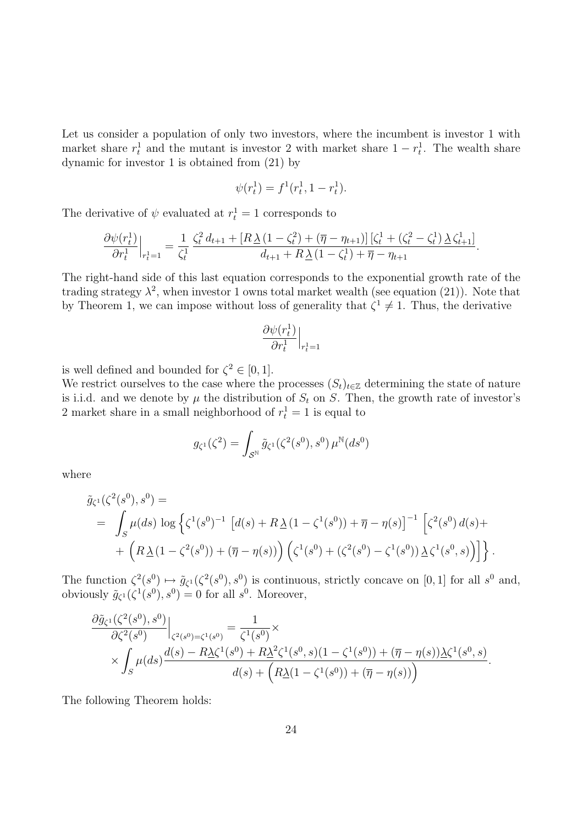Let us consider a population of only two investors, where the incumbent is investor 1 with market share  $r_t^1$  and the mutant is investor 2 with market share  $1 - r_t^1$ . The wealth share dynamic for investor 1 is obtained from (21) by

$$
\psi(r_t^1) = f^1(r_t^1, 1 - r_t^1).
$$

The derivative of  $\psi$  evaluated at  $r_t^1 = 1$  corresponds to

$$
\frac{\partial \psi(r_t^1)}{\partial r_t^1}\Big|_{r_t^1=1} = \frac{1}{\zeta_t^1} \frac{\zeta_t^2 d_{t+1} + [R \underline{\lambda} (1 - \zeta_t^2) + (\overline{\eta} - \eta_{t+1})] [\zeta_t^1 + (\zeta_t^2 - \zeta_t^1) \underline{\lambda} \zeta_{t+1}^1]}{d_{t+1} + R \underline{\lambda} (1 - \zeta_t^1) + \overline{\eta} - \eta_{t+1}}.
$$

The right-hand side of this last equation corresponds to the exponential growth rate of the trading strategy  $\lambda^2$ , when investor 1 owns total market wealth (see equation (21)). Note that by Theorem 1, we can impose without loss of generality that  $\zeta^1 \neq 1$ . Thus, the derivative

$$
\frac{\partial \psi(r_t^1)}{\partial r_t^1}\Big|_{r_t^1=1}
$$

is well defined and bounded for  $\zeta^2 \in [0,1]$ .

We restrict ourselves to the case where the processes  $(S_t)_{t\in\mathbb{Z}}$  determining the state of nature is i.i.d. and we denote by  $\mu$  the distribution of  $S_t$  on S. Then, the growth rate of investor's 2 market share in a small neighborhood of  $r_t^1 = 1$  is equal to

$$
g_{\zeta^1}(\zeta^2) = \int_{\mathcal{S}^{\mathbb{N}}} \tilde{g}_{\zeta^1}(\zeta^2(s^0), s^0) \,\mu^{\mathbb{N}}(ds^0)
$$

where

$$
\tilde{g}_{\zeta^{1}}(\zeta^{2}(s^{0}), s^{0}) =
$$
\n
$$
= \int_{S} \mu(ds) \log \left\{ \zeta^{1}(s^{0})^{-1} \left[ d(s) + R \underline{\lambda} (1 - \zeta^{1}(s^{0})) + \overline{\eta} - \eta(s) \right]^{-1} \left[ \zeta^{2}(s^{0}) d(s) + \right. \\ \left. + \left( R \underline{\lambda} (1 - \zeta^{2}(s^{0})) + (\overline{\eta} - \eta(s)) \right) \left( \zeta^{1}(s^{0}) + (\zeta^{2}(s^{0}) - \zeta^{1}(s^{0})) \underline{\lambda} \zeta^{1}(s^{0}, s) \right) \right] \right\}.
$$

The function  $\zeta^2(s^0) \mapsto \tilde{g}_{\zeta^1}(\zeta^2(s^0), s^0)$  is continuous, strictly concave on [0, 1] for all  $s^0$  and, obviously  $\tilde{g}_{\zeta^1}(\zeta^1(s^0), s^0) = 0$  for all  $s^0$ . Moreover,

$$
\frac{\partial \tilde{g}_{\zeta^{1}}(\zeta^{2}(s^{0}), s^{0})}{\partial \zeta^{2}(s^{0})}\Big|_{\zeta^{2}(s^{0})=\zeta^{1}(s^{0})} = \frac{1}{\zeta^{1}(s^{0})} \times \times \int_{S} \mu(ds) \frac{d(s) - R\Delta\zeta^{1}(s^{0}) + R\Delta^{2}\zeta^{1}(s^{0}, s)(1 - \zeta^{1}(s^{0})) + (\overline{\eta} - \eta(s))\Delta\zeta^{1}(s^{0}, s)}{d(s) + (R\Delta(1 - \zeta^{1}(s^{0})) + (\overline{\eta} - \eta(s))}.
$$

The following Theorem holds: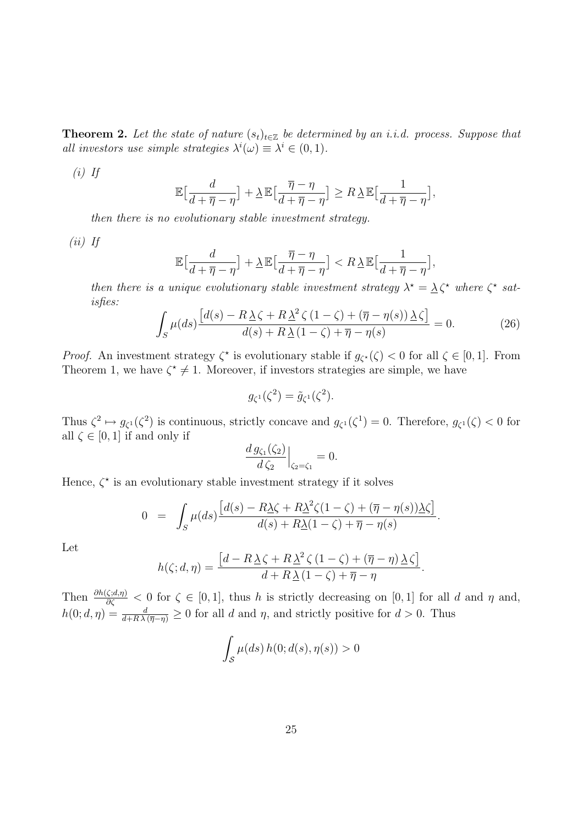**Theorem 2.** Let the state of nature  $(s_t)_{t\in\mathbb{Z}}$  be determined by an i.i.d. process. Suppose that all investors use simple strategies  $\lambda^{i}(\omega) \equiv \lambda^{i} \in (0,1)$ .

 $(i)$  If

$$
\mathbb{E}\left[\frac{d}{d+\overline{\eta}-\eta}\right]+\underline{\lambda}\,\mathbb{E}\left[\frac{\overline{\eta}-\eta}{d+\overline{\eta}-\eta}\right]\geq R\,\underline{\lambda}\,\mathbb{E}\left[\frac{1}{d+\overline{\eta}-\eta}\right],
$$

then there is no evolutionary stable investment strategy.

 $(ii)$  If

$$
\mathbb{E}\big[\frac{d}{d+\overline{\eta}-\eta}\big] + \underline{\lambda} \mathbb{E}\big[\frac{\overline{\eta}-\eta}{d+\overline{\eta}-\eta}\big] < R\underline{\lambda} \mathbb{E}\big[\frac{1}{d+\overline{\eta}-\eta}\big],
$$

then there is a unique evolutionary stable investment strategy  $\lambda^* = \lambda \zeta^*$  where  $\zeta^*$  satisfies:

$$
\int_{S} \mu(ds) \frac{\left[d(s) - R\,\underline{\lambda}\,\zeta + R\,\underline{\lambda}^{2}\,\zeta\,(1-\zeta) + (\overline{\eta} - \eta(s))\,\underline{\lambda}\,\zeta\right]}{d(s) + R\,\underline{\lambda}\,(1-\zeta) + \overline{\eta} - \eta(s)} = 0.
$$
\n(26)

*Proof.* An investment strategy  $\zeta^*$  is evolutionary stable if  $g_{\zeta^*}(\zeta) < 0$  for all  $\zeta \in [0,1]$ . From Theorem 1, we have  $\zeta^* \neq 1$ . Moreover, if investors strategies are simple, we have

$$
g_{\zeta^1}(\zeta^2) = \tilde{g}_{\zeta^1}(\zeta^2).
$$

Thus  $\zeta^2 \mapsto g_{\zeta^1}(\zeta^2)$  is continuous, strictly concave and  $g_{\zeta^1}(\zeta^1) = 0$ . Therefore,  $g_{\zeta^1}(\zeta) < 0$  for all  $\zeta \in [0, 1]$  if and only if

$$
\frac{d g_{\zeta_1}(\zeta_2)}{d \zeta_2}\Big|_{\zeta_2=\zeta_1} = 0.
$$

Hence,  $\zeta^*$  is an evolutionary stable investment strategy if it solves

$$
0 = \int_{S} \mu(ds) \frac{\left[d(s) - R\underline{\lambda}\zeta + R\underline{\lambda}^2\zeta(1-\zeta) + (\overline{\eta} - \eta(s))\underline{\lambda}\zeta\right]}{d(s) + R\underline{\lambda}(1-\zeta) + \overline{\eta} - \eta(s)}.
$$

Let

$$
h(\zeta; d, \eta) = \frac{\left[d - R\underline{\lambda}\zeta + R\underline{\lambda}^2\zeta(1-\zeta) + (\overline{\eta} - \eta)\underline{\lambda}\zeta\right]}{d + R\underline{\lambda}(1-\zeta) + \overline{\eta} - \eta}.
$$

Then  $\frac{\partial h(\zeta,d,\eta)}{\partial \zeta} < 0$  for  $\zeta \in [0,1]$ , thus h is strictly decreasing on  $[0,1]$  for all d and  $\eta$  and,  $h(0; d, \eta) = \frac{d}{d + R\lambda(\overline{\eta} - \eta)} \ge 0$  for all d and  $\eta$ , and strictly positive for  $d > 0$ . Thus

$$
\int_{\mathcal{S}} \mu(ds) h(0; d(s), \eta(s)) > 0
$$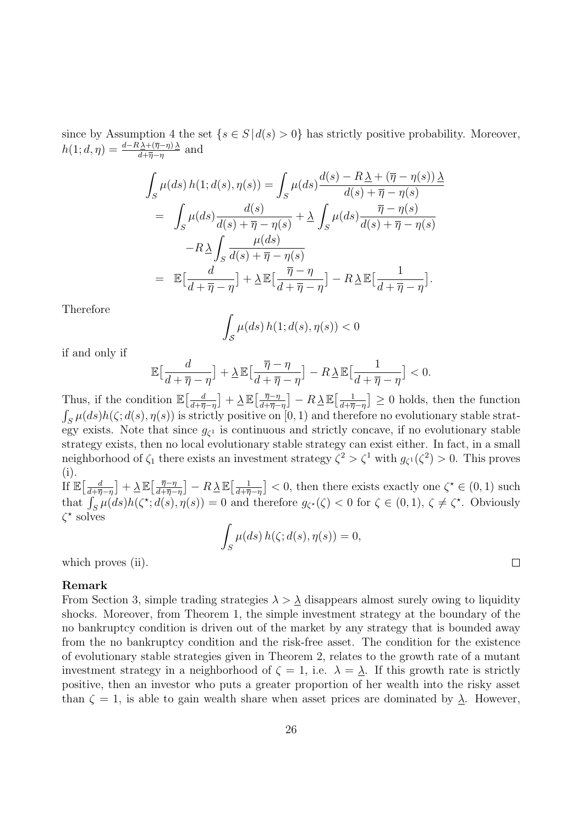since by Assumption 4 the set  $\{s \in S \mid d(s) > 0\}$  has strictly positive probability. Moreover,  $h(1; d, \eta) = \frac{d - R \Delta + (\overline{\eta} - \eta) \Delta}{d + \overline{\eta} - \eta}$  and

$$
\int_{S} \mu(ds) h(1; d(s), \eta(s)) = \int_{S} \mu(ds) \frac{d(s) - R\underline{\lambda} + (\overline{\eta} - \eta(s))\underline{\lambda}}{d(s) + \overline{\eta} - \eta(s)}
$$
  
\n
$$
= \int_{S} \mu(ds) \frac{d(s)}{d(s) + \overline{\eta} - \eta(s)} + \underline{\lambda} \int_{S} \mu(ds) \frac{\overline{\eta} - \eta(s)}{d(s) + \overline{\eta} - \eta(s)}
$$
  
\n
$$
-R\underline{\lambda} \int_{S} \frac{\mu(ds)}{d(s) + \overline{\eta} - \eta(s)}
$$
  
\n
$$
= \mathbb{E}[\frac{d}{d + \overline{\eta} - \eta}] + \underline{\lambda} \mathbb{E}[\frac{\overline{\eta} - \eta}{d + \overline{\eta} - \eta}] - R\underline{\lambda} \mathbb{E}[\frac{1}{d + \overline{\eta} - \eta}].
$$

Therefore

$$
\int_{\mathcal{S}} \mu(ds) h(1; d(s), \eta(s)) < 0
$$

if and only if

$$
\mathbb{E}\left[\frac{d}{d+\overline{\eta}-\eta}\right]+\underline{\lambda}\,\mathbb{E}\left[\frac{\overline{\eta}-\eta}{d+\overline{\eta}-\eta}\right]-R\underline{\lambda}\,\mathbb{E}\left[\frac{1}{d+\overline{\eta}-\eta}\right]<0.
$$

Thus, if the condition  $\mathbb{E}\left[\frac{d}{d+\overline{n}}\right]$  $\frac{d}{d+\overline{\eta}-\eta}\big]+\frac{\lambda}{\alpha}\mathbb{E}\big[\frac{\overline{\eta}-\eta}{d+\overline{\eta}-\eta}$  $\left[\frac{\overline{\eta}-\eta}{d+\overline{\eta}-\eta}\right] - R\underline{\lambda}\mathbb{E}\left[\frac{1}{d+\overline{\eta}}\right]$  $\left(\frac{1}{d+\overline{\eta}-\eta}\right] \geq 0$  holds, then the function  $\int_{S} \mu(ds)h(\zeta; d(s), \eta(s))$  is strictly positive on [0, 1) and therefore no evolutionary stable strategy exists. Note that since  $g_{\zeta^1}$  is continuous and strictly concave, if no evolutionary stable strategy exists, then no local evolutionary stable strategy can exist either. In fact, in a small neighborhood of  $\zeta_1$  there exists an investment strategy  $\zeta^2 > \zeta^1$  with  $g_{\zeta^1}(\zeta^2) > 0$ . This proves (i). If  $\mathbb{E}\left[\frac{d}{d+n}\right]$  $\frac{d}{d+\overline{\eta}-\eta} \big] + \underline{\lambda} \, \mathbb{E} \big[ \frac{\overline{\eta}-\eta}{d+\overline{\eta}-\eta}$  $\left[\frac{\overline{\eta}-\eta}{d+\overline{\eta}-\eta}\right] - R\,\underline{\lambda}\,\mathbb{E}\!\left[\frac{1}{d+\overline{\eta}}\right]$  $\frac{1}{d+\overline{\eta}-\eta}$  < 0, then there exists exactly one  $\zeta^* \in (0,1)$  such that  $\int_S \mu(ds)h(\zeta^*; d(s), \eta(s)) = 0$  and therefore  $g_{\zeta^*}(\zeta) < 0$  for  $\zeta \in (0, 1), \zeta \neq \zeta^*$ . Obviously

$$
\int_{S}\mu(ds)\,h(\zeta;d(s),\eta(s))=0,
$$

 $\Box$ 

which proves (ii).

### Remark

 $\zeta^*$  solves

From Section 3, simple trading strategies  $\lambda > \lambda$  disappears almost surely owing to liquidity shocks. Moreover, from Theorem 1, the simple investment strategy at the boundary of the no bankruptcy condition is driven out of the market by any strategy that is bounded away from the no bankruptcy condition and the risk-free asset. The condition for the existence of evolutionary stable strategies given in Theorem 2, relates to the growth rate of a mutant investment strategy in a neighborhood of  $\zeta = 1$ , i.e.  $\lambda = \lambda$ . If this growth rate is strictly positive, then an investor who puts a greater proportion of her wealth into the risky asset than  $\zeta = 1$ , is able to gain wealth share when asset prices are dominated by  $\lambda$ . However,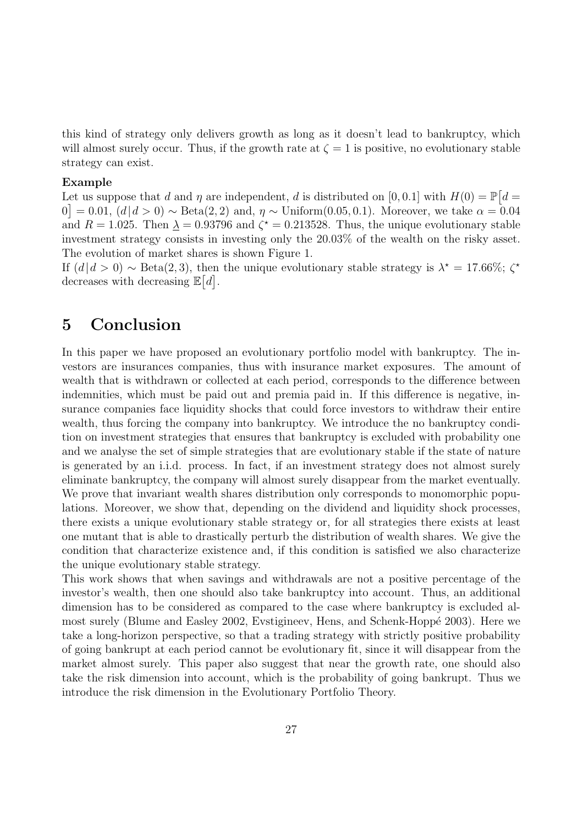this kind of strategy only delivers growth as long as it doesn't lead to bankruptcy, which will almost surely occur. Thus, if the growth rate at  $\zeta = 1$  is positive, no evolutionary stable strategy can exist.

### Example

Let us suppose that d and  $\eta$  are independent, d is distributed on [0,0.1] with  $H(0) = \mathbb{P}[d =$  $[0] = 0.01, (d | d > 0) \sim \text{Beta}(2, 2) \text{ and}, \eta \sim \text{Uniform}(0.05, 0.1).$  Moreover, we take  $\alpha = 0.04$ and  $R = 1.025$ . Then  $\lambda = 0.93796$  and  $\zeta^* = 0.213528$ . Thus, the unique evolutionary stable investment strategy consists in investing only the 20.03% of the wealth on the risky asset. The evolution of market shares is shown Figure 1.

If  $(d | d > 0) \sim \text{Beta}(2, 3)$ , then the unique evolutionary stable strategy is  $\lambda^* = 17.66\%$ ;  $\zeta^*$ decreases with decreasing  $\mathbb{E}[d]$ .

### 5 Conclusion

In this paper we have proposed an evolutionary portfolio model with bankruptcy. The investors are insurances companies, thus with insurance market exposures. The amount of wealth that is withdrawn or collected at each period, corresponds to the difference between indemnities, which must be paid out and premia paid in. If this difference is negative, insurance companies face liquidity shocks that could force investors to withdraw their entire wealth, thus forcing the company into bankruptcy. We introduce the no bankruptcy condition on investment strategies that ensures that bankruptcy is excluded with probability one and we analyse the set of simple strategies that are evolutionary stable if the state of nature is generated by an i.i.d. process. In fact, if an investment strategy does not almost surely eliminate bankruptcy, the company will almost surely disappear from the market eventually. We prove that invariant wealth shares distribution only corresponds to monomorphic populations. Moreover, we show that, depending on the dividend and liquidity shock processes, there exists a unique evolutionary stable strategy or, for all strategies there exists at least one mutant that is able to drastically perturb the distribution of wealth shares. We give the condition that characterize existence and, if this condition is satisfied we also characterize the unique evolutionary stable strategy.

This work shows that when savings and withdrawals are not a positive percentage of the investor's wealth, then one should also take bankruptcy into account. Thus, an additional dimension has to be considered as compared to the case where bankruptcy is excluded almost surely (Blume and Easley 2002, Evstigineev, Hens, and Schenk-Hoppé 2003). Here we take a long-horizon perspective, so that a trading strategy with strictly positive probability of going bankrupt at each period cannot be evolutionary fit, since it will disappear from the market almost surely. This paper also suggest that near the growth rate, one should also take the risk dimension into account, which is the probability of going bankrupt. Thus we introduce the risk dimension in the Evolutionary Portfolio Theory.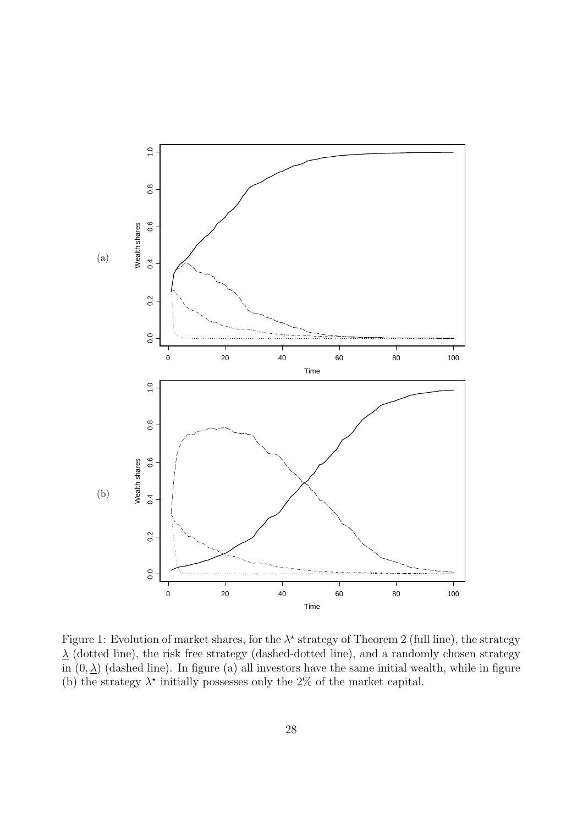

Figure 1: Evolution of market shares, for the  $\lambda^*$  strategy of Theorem 2 (full line), the strategy  $\lambda$  (dotted line), the risk free strategy (dashed-dotted line), and a randomly chosen strategy in  $(0, \lambda)$  (dashed line). In figure (a) all investors have the same initial wealth, while in figure (b) the strategy  $\lambda^*$  initially possesses only the 2% of the market capital.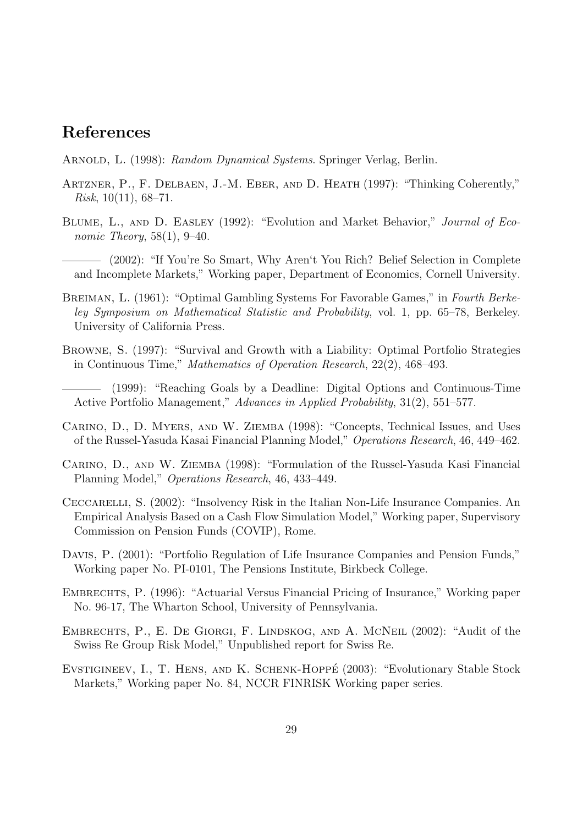## References

- ARNOLD, L. (1998): Random Dynamical Systems. Springer Verlag, Berlin.
- Artzner, P., F. Delbaen, J.-M. Eber, and D. Heath (1997): "Thinking Coherently," *Risk*,  $10(11)$ ,  $68-71$ .
- BLUME, L., AND D. EASLEY (1992): "Evolution and Market Behavior," Journal of Economic Theory,  $58(1)$ ,  $9-40$ .
- (2002): "If You're So Smart, Why Aren't You Rich? Belief Selection in Complete and Incomplete Markets," Working paper, Department of Economics, Cornell University.
- BREIMAN, L. (1961): "Optimal Gambling Systems For Favorable Games," in Fourth Berkeley Symposium on Mathematical Statistic and Probability, vol. 1, pp. 65–78, Berkeley. University of California Press.
- Browne, S. (1997): "Survival and Growth with a Liability: Optimal Portfolio Strategies in Continuous Time," Mathematics of Operation Research, 22(2), 468–493.
- (1999): "Reaching Goals by a Deadline: Digital Options and Continuous-Time Active Portfolio Management," Advances in Applied Probability, 31(2), 551–577.
- Carino, D., D. Myers, and W. Ziemba (1998): "Concepts, Technical Issues, and Uses of the Russel-Yasuda Kasai Financial Planning Model," Operations Research, 46, 449–462.
- Carino, D., and W. Ziemba (1998): "Formulation of the Russel-Yasuda Kasi Financial Planning Model," Operations Research, 46, 433–449.
- Ceccarelli, S. (2002): "Insolvency Risk in the Italian Non-Life Insurance Companies. An Empirical Analysis Based on a Cash Flow Simulation Model," Working paper, Supervisory Commission on Pension Funds (COVIP), Rome.
- Davis, P. (2001): "Portfolio Regulation of Life Insurance Companies and Pension Funds," Working paper No. PI-0101, The Pensions Institute, Birkbeck College.
- Embrechts, P. (1996): "Actuarial Versus Financial Pricing of Insurance," Working paper No. 96-17, The Wharton School, University of Pennsylvania.
- Embrechts, P., E. De Giorgi, F. Lindskog, and A. McNeil (2002): "Audit of the Swiss Re Group Risk Model," Unpublished report for Swiss Re.
- EVSTIGINEEV, I., T. HENS, AND K. SCHENK-HOPPÉ (2003): "Evolutionary Stable Stock Markets," Working paper No. 84, NCCR FINRISK Working paper series.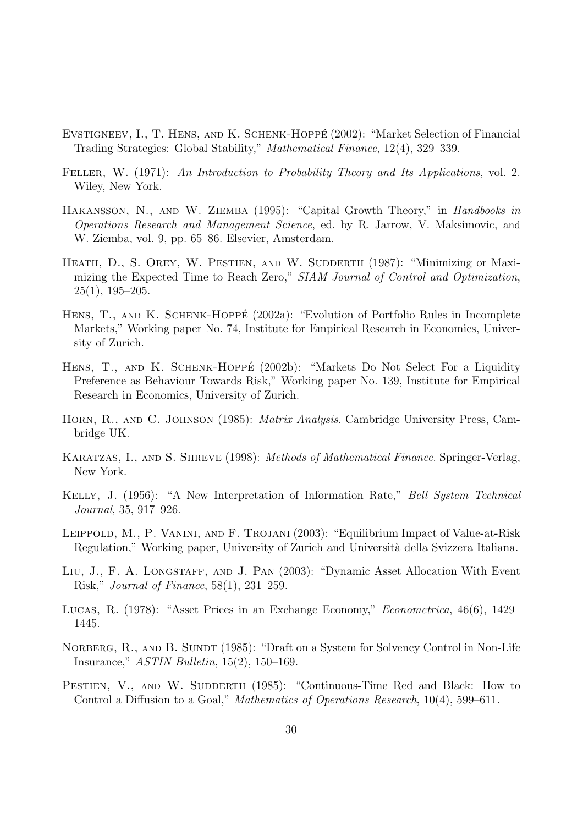- Evstigneev, I., T. Hens, and K. Schenk-Hoppe´ (2002): "Market Selection of Financial Trading Strategies: Global Stability," Mathematical Finance, 12(4), 329–339.
- FELLER, W. (1971): An Introduction to Probability Theory and Its Applications, vol. 2. Wiley, New York.
- HAKANSSON, N., AND W. ZIEMBA (1995): "Capital Growth Theory," in Handbooks in Operations Research and Management Science, ed. by R. Jarrow, V. Maksimovic, and W. Ziemba, vol. 9, pp. 65–86. Elsevier, Amsterdam.
- HEATH, D., S. OREY, W. PESTIEN, AND W. SUDDERTH (1987): "Minimizing or Maximizing the Expected Time to Reach Zero," SIAM Journal of Control and Optimization,  $25(1), 195-205.$
- HENS, T., AND K. SCHENK-HOPPÉ (2002a): "Evolution of Portfolio Rules in Incomplete Markets," Working paper No. 74, Institute for Empirical Research in Economics, University of Zurich.
- HENS, T., AND K. SCHENK-HOPPÉ (2002b): "Markets Do Not Select For a Liquidity Preference as Behaviour Towards Risk," Working paper No. 139, Institute for Empirical Research in Economics, University of Zurich.
- HORN, R., AND C. JOHNSON (1985): *Matrix Analysis*. Cambridge University Press, Cambridge UK.
- KARATZAS, I., AND S. SHREVE (1998): *Methods of Mathematical Finance*. Springer-Verlag, New York.
- KELLY, J. (1956): "A New Interpretation of Information Rate," Bell System Technical Journal, 35, 917–926.
- Leippold, M., P. Vanini, and F. Trojani (2003): "Equilibrium Impact of Value-at-Risk Regulation," Working paper, University of Zurich and Università della Svizzera Italiana.
- LIU, J., F. A. LONGSTAFF, AND J. PAN (2003): "Dynamic Asset Allocation With Event Risk," Journal of Finance, 58(1), 231–259.
- Lucas, R. (1978): "Asset Prices in an Exchange Economy," Econometrica, 46(6), 1429– 1445.
- NORBERG, R., AND B. SUNDT (1985): "Draft on a System for Solvency Control in Non-Life Insurance," ASTIN Bulletin, 15(2), 150–169.
- PESTIEN, V., AND W. SUDDERTH (1985): "Continuous-Time Red and Black: How to Control a Diffusion to a Goal," Mathematics of Operations Research, 10(4), 599–611.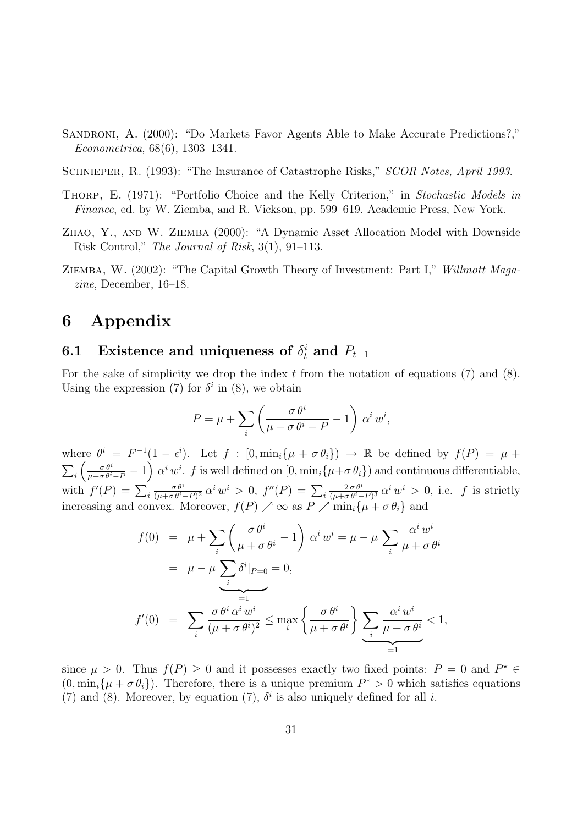- Sandroni, A. (2000): "Do Markets Favor Agents Able to Make Accurate Predictions?," Econometrica, 68(6), 1303–1341.
- SCHNIEPER, R. (1993): "The Insurance of Catastrophe Risks," SCOR Notes, April 1993.
- THORP, E. (1971): "Portfolio Choice and the Kelly Criterion," in Stochastic Models in Finance, ed. by W. Ziemba, and R. Vickson, pp. 599–619. Academic Press, New York.
- Zhao, Y., and W. Ziemba (2000): "A Dynamic Asset Allocation Model with Downside Risk Control," The Journal of Risk, 3(1), 91–113.
- Ziemba, W. (2002): "The Capital Growth Theory of Investment: Part I," Willmott Magazine, December, 16–18.

## 6 Appendix

## 6.1 Existence and uniqueness of  $\delta_t^i$  and  $P_{t+1}$

For the sake of simplicity we drop the index  $t$  from the notation of equations (7) and (8). Using the expression (7) for  $\delta^i$  in (8), we obtain

$$
P = \mu + \sum_{i} \left( \frac{\sigma \theta^{i}}{\mu + \sigma \theta^{i} - P} - 1 \right) \alpha^{i} w^{i},
$$

where  $\theta^i = F^{-1}(1 - \epsilon^i)$ . Let  $f : [0, \min_i{\mu + \sigma \theta_i} \to \mathbb{R}$  be defined by  $f(P) = \mu +$  $\sum_i \left( \frac{\sigma \theta^i}{\mu + \sigma \theta^i - P} - 1 \right) \alpha^i w^i$ . f is well defined on  $[0, \min_i \{ \mu + \sigma \theta_i \}]$  and continuous differentiable, with  $f'(P) = \sum_i$  $\sigma\,\theta^{\it i}$  $\frac{\sigma \theta^i}{(\mu + \sigma \theta^i - P)^2}$  α<sup>i</sup> w<sup>i</sup> > 0, f''(P) = ∑<sub>i</sub>  $2\,\sigma\,\theta^i$  $\frac{2\sigma\theta^{i}}{(\mu+\sigma\theta^{i}-P)^{3}}\,\alpha^{i}w^{i} > 0$ , i.e. f is strictly increasing and convex. Moreover,  $f(P) \nearrow \infty$  as  $P \nearrow \min_i \{ \mu + \sigma \theta_i \}$  and

$$
f(0) = \mu + \sum_{i} \left( \frac{\sigma \theta^{i}}{\mu + \sigma \theta^{i}} - 1 \right) \alpha^{i} w^{i} = \mu - \mu \sum_{i} \frac{\alpha^{i} w^{i}}{\mu + \sigma \theta^{i}}
$$
  

$$
= \mu - \mu \sum_{i} \delta^{i} |_{P=0} = 0,
$$
  

$$
f'(0) = \sum_{i} \frac{\sigma \theta^{i} \alpha^{i} w^{i}}{(\mu + \sigma \theta^{i})^{2}} \le \max_{i} \left\{ \frac{\sigma \theta^{i}}{\mu + \sigma \theta^{i}} \right\} \underbrace{\sum_{i} \frac{\alpha^{i} w^{i}}{\mu + \sigma \theta^{i}} < 1, \underbrace{\sum_{i} \frac{\alpha^{i} w^{i}}{\mu + \sigma \theta^{i}} < 1, \underbrace{\sum_{i} \frac{\alpha^{i} w^{i}}{\mu + \sigma \theta^{i}} < 1, \underbrace{\sum_{i} \frac{\alpha^{i} w^{i}}{\mu + \sigma \theta^{i}} < 1, \underbrace{\sum_{i} \frac{\alpha^{i} w^{i}}{\mu + \sigma \theta^{i}} < 1, \underbrace{\sum_{i} \frac{\alpha^{i} w^{i}}{\mu + \sigma \theta^{i}} < 1, \underbrace{\sum_{i} \frac{\alpha^{i} w^{i}}{\mu + \sigma \theta^{i}} < 1, \underbrace{\sum_{i} \frac{\alpha^{i} w^{i}}{\mu + \sigma \theta^{i}} < 1, \underbrace{\sum_{i} \frac{\alpha^{i} w^{i}}{\mu + \sigma \theta^{i}} < 1, \underbrace{\sum_{i} \frac{\alpha^{i} w^{i}}{\mu + \sigma \theta^{i}} < 1, \underbrace{\sum_{i} \frac{\alpha^{i} w^{i}}{\mu + \sigma \theta^{i}} < 1, \underbrace{\sum_{i} \frac{\alpha^{i} w^{i}}{\mu + \sigma \theta^{i}} < 1, \underbrace{\sum_{i} \frac{\alpha^{i} w^{i}}{\mu + \sigma \theta^{i}} < 1, \underbrace{\sum_{i} \frac{\alpha^{i} w^{i}}{\mu + \sigma \theta^{i}} < 1, \underbrace{\sum_{i} \frac{\alpha^{i} w^{i}}{\mu + \sigma \theta^{i}} < 1, \underbrace{\sum_{i} \frac{\alpha^{i} w^{i}}{\mu + \sigma \theta^{i}} < 1, \underbrace{\sum_{i} \frac{\alpha^{i} w^{i}}{\mu + \sigma \theta^{i}}
$$

since  $\mu > 0$ . Thus  $f(P) \geq 0$  and it possesses exactly two fixed points:  $P = 0$  and  $P^* \in$  $(0, \min_i {\mu + \sigma \theta_i})$ . Therefore, there is a unique premium  $P^* > 0$  which satisfies equations (7) and (8). Moreover, by equation (7),  $\delta^i$  is also uniquely defined for all *i*.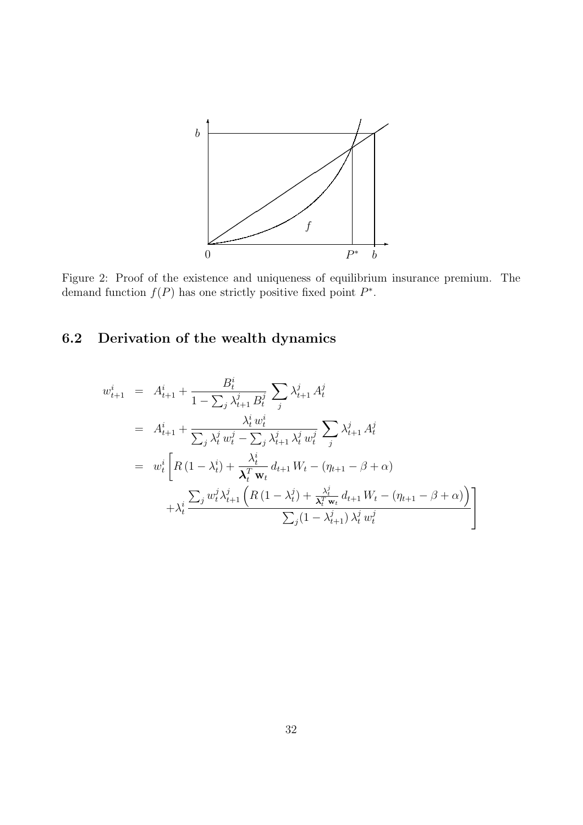

Figure 2: Proof of the existence and uniqueness of equilibrium insurance premium. The demand function  $f(P)$  has one strictly positive fixed point  $P^*$ .

## 6.2 Derivation of the wealth dynamics

$$
w_{t+1}^{i} = A_{t+1}^{i} + \frac{B_{t}^{i}}{1 - \sum_{j} \lambda_{t+1}^{j} B_{t}^{j}} \sum_{j} \lambda_{t+1}^{j} A_{t}^{j}
$$
  
\n
$$
= A_{t+1}^{i} + \frac{\lambda_{t}^{i} w_{t}^{i}}{\sum_{j} \lambda_{t}^{j} w_{t}^{j} - \sum_{j} \lambda_{t+1}^{j} \lambda_{t}^{j} w_{t}^{j}} \sum_{j} \lambda_{t+1}^{j} A_{t}^{j}
$$
  
\n
$$
= w_{t}^{i} \left[ R \left( 1 - \lambda_{t}^{i} \right) + \frac{\lambda_{t}^{i}}{\lambda_{t}^{T} w_{t}} d_{t+1} W_{t} - \left( \eta_{t+1} - \beta + \alpha \right) + \lambda_{t}^{i} \frac{\sum_{j} w_{t}^{j} \lambda_{t+1}^{j} \left( R \left( 1 - \lambda_{t}^{j} \right) + \frac{\lambda_{t}^{j}}{\lambda_{t}^{T} w_{t}} d_{t+1} W_{t} - \left( \eta_{t+1} - \beta + \alpha \right) \right)}{\sum_{j} (1 - \lambda_{t+1}^{j}) \lambda_{t}^{j} w_{t}^{j}} \right]
$$